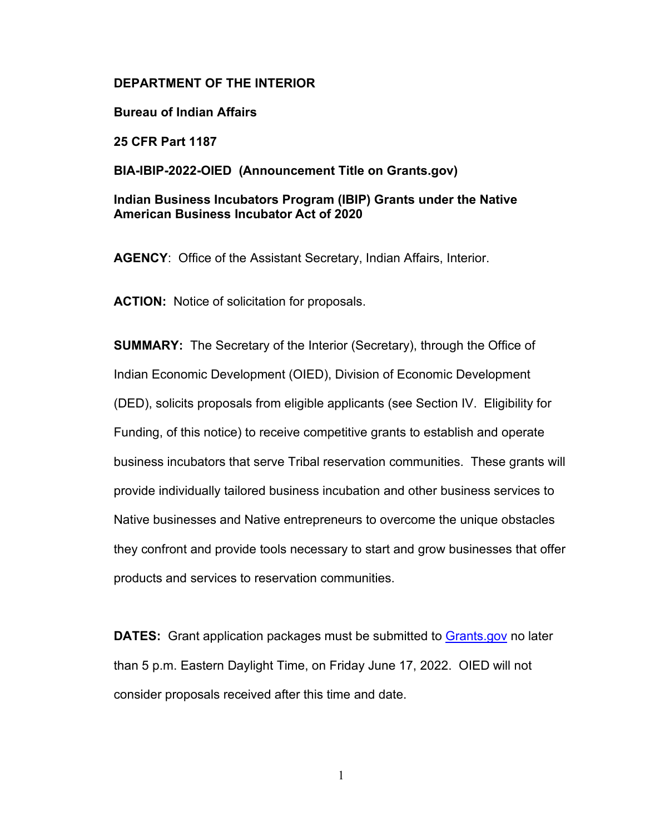## **DEPARTMENT OF THE INTERIOR**

**Bureau of Indian Affairs**

**25 CFR Part 1187**

**BIA-IBIP-2022-OIED (Announcement Title on Grants.gov)**

# **Indian Business Incubators Program (IBIP) Grants under the Native American Business Incubator Act of 2020**

**AGENCY**: Office of the Assistant Secretary, Indian Affairs, Interior.

**ACTION:** Notice of solicitation for proposals.

**SUMMARY:** The Secretary of the Interior (Secretary), through the Office of Indian Economic Development (OIED), Division of Economic Development (DED), solicits proposals from eligible applicants (see Section IV. Eligibility for Funding, of this notice) to receive competitive grants to establish and operate business incubators that serve Tribal reservation communities. These grants will provide individually tailored business incubation and other business services to Native businesses and Native entrepreneurs to overcome the unique obstacles they confront and provide tools necessary to start and grow businesses that offer products and services to reservation communities.

**DATES:** Grant application packages must be submitted to [Grants.gov](http://www.grants.gov/) no later than 5 p.m. Eastern Daylight Time, on Friday June 17, 2022. OIED will not consider proposals received after this time and date.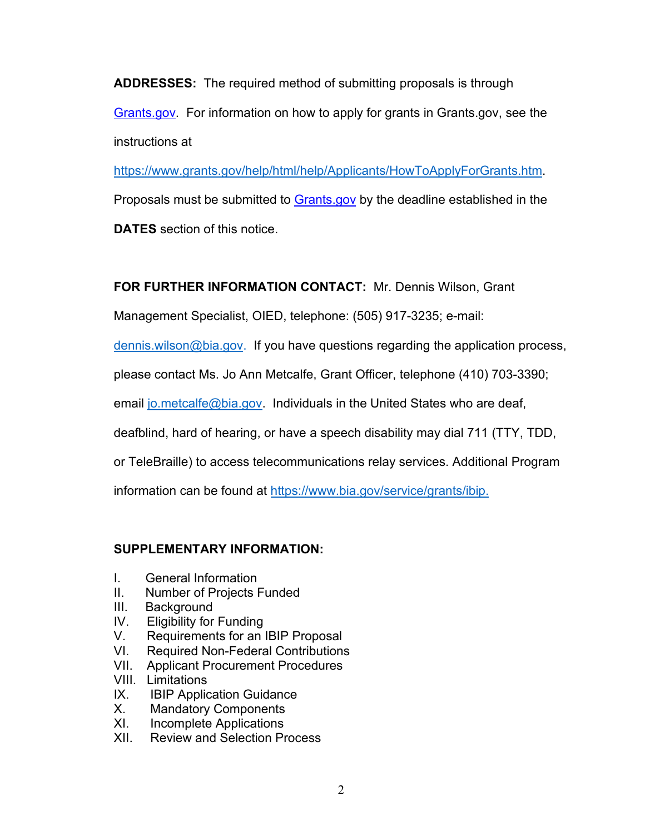**ADDRESSES:** The required method of submitting proposals is through [Grants.gov.](http://www.grants.gov/) For information on how to apply for grants in Grants.gov, see the instructions at

[https://www.grants.gov/help/html/help/Applicants/HowToApplyForGrants.htm.](https://www.grants.gov/help/html/help/Applicants/HowToApplyForGrants.htm) Proposals must be submitted to Grants.gov by the deadline established in the **DATES** section of this notice.

**FOR FURTHER INFORMATION CONTACT:** Mr. Dennis Wilson, Grant

Management Specialist, OIED, telephone: (505) 917-3235; e-mail:

[dennis.wilson@bia.gov.](mailto:dennis.wilson@bia.gov) If you have questions regarding the application process,

please contact Ms. Jo Ann Metcalfe, Grant Officer, telephone (410) 703-3390;

email [jo.metcalfe@bia.gov.](mailto:jo.metcalfe@bia.gov) Individuals in the United States who are deaf,

deafblind, hard of hearing, or have a speech disability may dial 711 (TTY, TDD,

or TeleBraille) to access telecommunications relay services. Additional Program

information can be found at [https://www.bia.gov/service/grants/ibip.](https://www.bia.gov/service/grants/ibip)

# **SUPPLEMENTARY INFORMATION:**

- I. General Information
- II. Number of Projects Funded
- III. Background
- IV. Eligibility for Funding
- V. Requirements for an IBIP Proposal<br>VI. Required Non-Federal Contributions
- **Required Non-Federal Contributions**
- VII. Applicant Procurement Procedures
- VIII. Limitations
- IX. IBIP Application Guidance
- X. Mandatory Components
- XI. Incomplete Applications
- XII. Review and Selection Process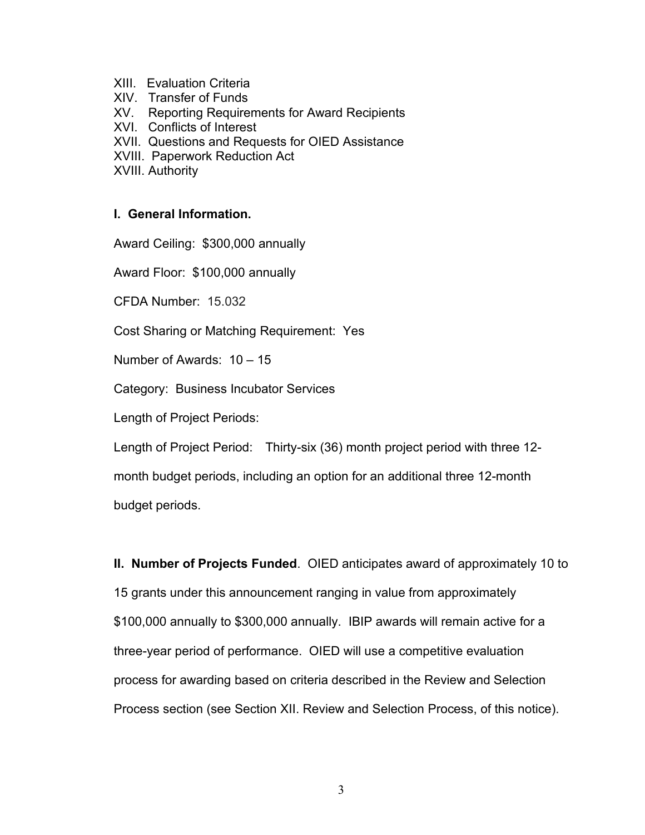- XIII. Evaluation Criteria
- XIV. Transfer of Funds
- XV. Reporting Requirements for Award Recipients
- XVI. Conflicts of Interest
- XVII. Questions and Requests for OIED Assistance
- XVIII. Paperwork Reduction Act
- XVIII. Authority

# **I. General Information.**

Award Ceiling: \$300,000 annually

Award Floor: \$100,000 annually

CFDA Number: 15.032

Cost Sharing or Matching Requirement: Yes

Number of Awards: 10 – 15

Category: Business Incubator Services

Length of Project Periods:

Length of Project Period: Thirty-six (36) month project period with three 12-

month budget periods, including an option for an additional three 12-month budget periods.

**II. Number of Projects Funded**. OIED anticipates award of approximately 10 to 15 grants under this announcement ranging in value from approximately \$100,000 annually to \$300,000 annually. IBIP awards will remain active for a three-year period of performance. OIED will use a competitive evaluation process for awarding based on criteria described in the Review and Selection Process section (see Section XII. Review and Selection Process, of this notice).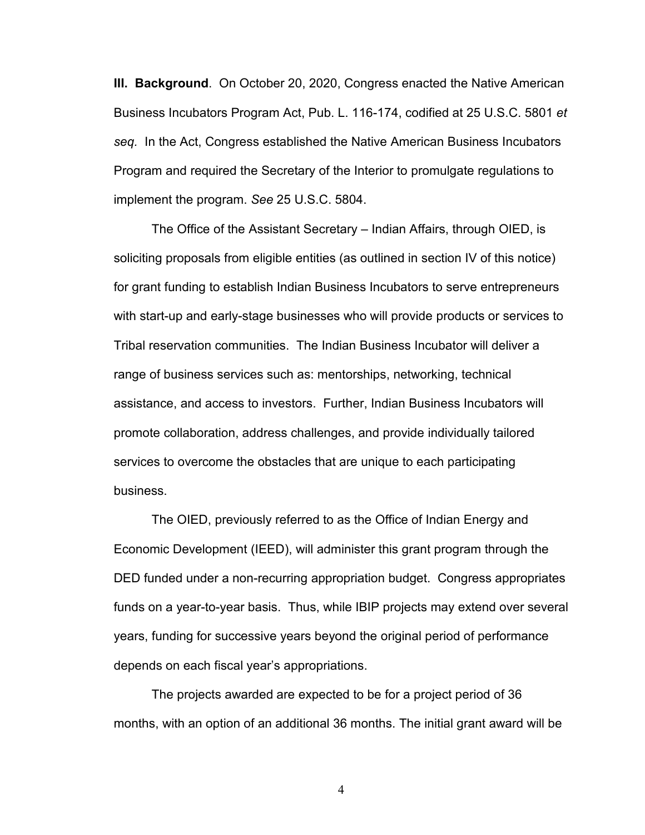**III. Background**. On October 20, 2020, Congress enacted the Native American Business Incubators Program Act, Pub. L. 116-174, codified at 25 U.S.C. 5801 *et seq.* In the Act, Congress established the Native American Business Incubators Program and required the Secretary of the Interior to promulgate regulations to implement the program. *See* 25 U.S.C. 5804.

The Office of the Assistant Secretary – Indian Affairs, through OIED, is soliciting proposals from eligible entities (as outlined in section IV of this notice) for grant funding to establish Indian Business Incubators to serve entrepreneurs with start-up and early-stage businesses who will provide products or services to Tribal reservation communities. The Indian Business Incubator will deliver a range of business services such as: mentorships, networking, technical assistance, and access to investors. Further, Indian Business Incubators will promote collaboration, address challenges, and provide individually tailored services to overcome the obstacles that are unique to each participating business.

The OIED, previously referred to as the Office of Indian Energy and Economic Development (IEED), will administer this grant program through the DED funded under a non-recurring appropriation budget. Congress appropriates funds on a year-to-year basis. Thus, while IBIP projects may extend over several years, funding for successive years beyond the original period of performance depends on each fiscal year's appropriations.

The projects awarded are expected to be for a project period of 36 months, with an option of an additional 36 months. The initial grant award will be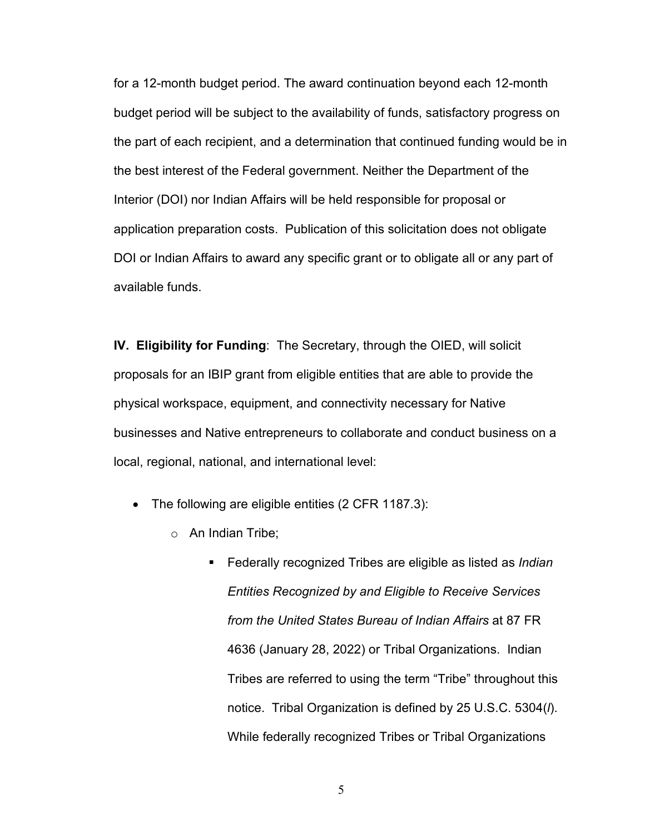for a 12-month budget period. The award continuation beyond each 12-month budget period will be subject to the availability of funds, satisfactory progress on the part of each recipient, and a determination that continued funding would be in the best interest of the Federal government. Neither the Department of the Interior (DOI) nor Indian Affairs will be held responsible for proposal or application preparation costs. Publication of this solicitation does not obligate DOI or Indian Affairs to award any specific grant or to obligate all or any part of available funds.

**IV. Eligibility for Funding**: The Secretary, through the OIED, will solicit proposals for an IBIP grant from eligible entities that are able to provide the physical workspace, equipment, and connectivity necessary for Native businesses and Native entrepreneurs to collaborate and conduct business on a local, regional, national, and international level:

- The following are eligible entities (2 CFR 1187.3):
	- o An Indian Tribe;
		- Federally recognized Tribes are eligible as listed as *Indian Entities Recognized by and Eligible to Receive Services from the United States Bureau of Indian Affairs* at 87 FR 4636 (January 28, 2022) or Tribal Organizations. Indian Tribes are referred to using the term "Tribe" throughout this notice. Tribal Organization is defined by 25 U.S.C. 5304(*l*). While federally recognized Tribes or Tribal Organizations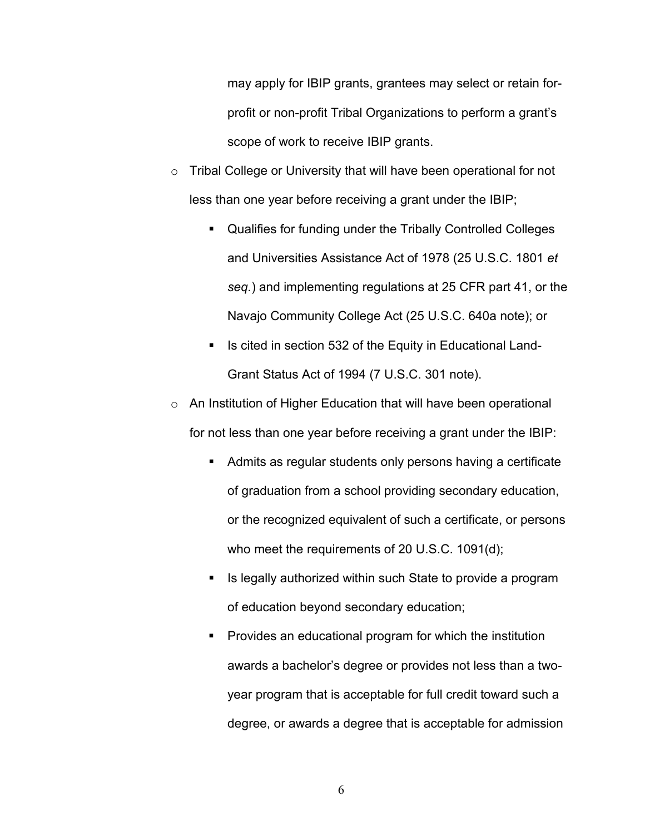may apply for IBIP grants, grantees may select or retain forprofit or non-profit Tribal Organizations to perform a grant's scope of work to receive IBIP grants.

- o Tribal College or University that will have been operational for not less than one year before receiving a grant under the IBIP;
	- Qualifies for funding under the Tribally Controlled Colleges and Universities Assistance Act of 1978 (25 U.S.C. 1801 *et seq.*) and implementing regulations at 25 CFR part 41, or the Navajo Community College Act (25 U.S.C. 640a note); or
	- Is cited in section 532 of the Equity in Educational Land-Grant Status Act of 1994 (7 U.S.C. 301 note).
- o An Institution of Higher Education that will have been operational for not less than one year before receiving a grant under the IBIP:
	- Admits as regular students only persons having a certificate of graduation from a school providing secondary education, or the recognized equivalent of such a certificate, or persons who meet the requirements of 20 U.S.C. 1091(d);
	- Is legally authorized within such State to provide a program of education beyond secondary education;
	- **Provides an educational program for which the institution** awards a bachelor's degree or provides not less than a twoyear program that is acceptable for full credit toward such a degree, or awards a degree that is acceptable for admission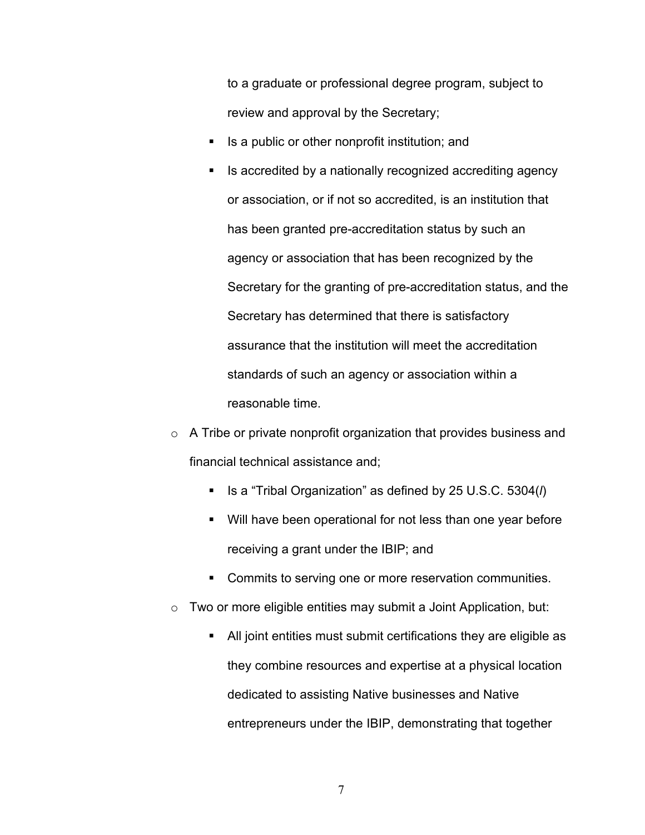to a graduate or professional degree program, subject to review and approval by the Secretary;

- $\blacksquare$  Is a public or other nonprofit institution; and
- Is accredited by a nationally recognized accrediting agency or association, or if not so accredited, is an institution that has been granted pre-accreditation status by such an agency or association that has been recognized by the Secretary for the granting of pre-accreditation status, and the Secretary has determined that there is satisfactory assurance that the institution will meet the accreditation standards of such an agency or association within a reasonable time.
- o A Tribe or private nonprofit organization that provides business and financial technical assistance and;
	- Is a "Tribal Organization" as defined by 25 U.S.C. 5304(*l*)
	- Will have been operational for not less than one year before receiving a grant under the IBIP; and
	- **Commits to serving one or more reservation communities.**
- $\circ$  Two or more eligible entities may submit a Joint Application, but:
	- All joint entities must submit certifications they are eligible as they combine resources and expertise at a physical location dedicated to assisting Native businesses and Native entrepreneurs under the IBIP, demonstrating that together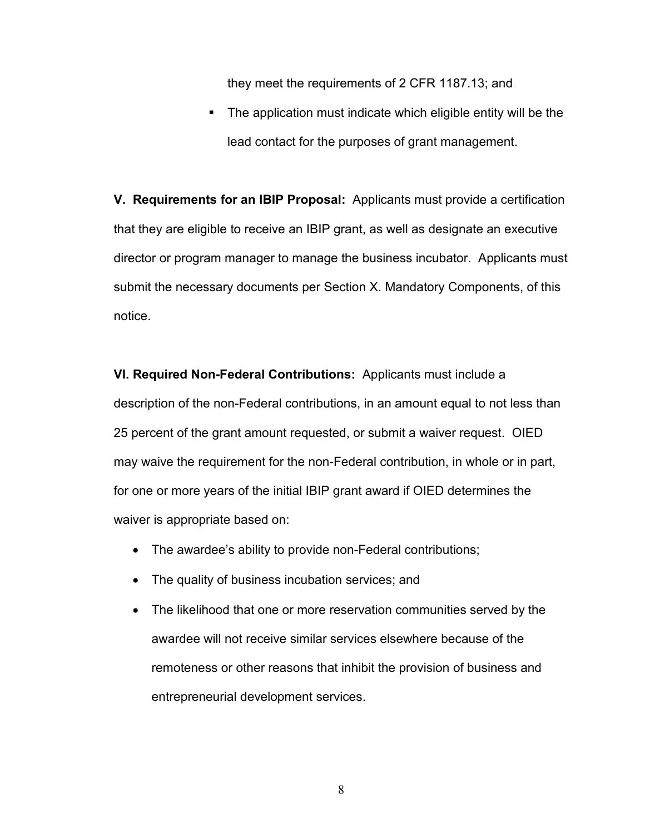they meet the requirements of 2 CFR 1187.13; and

 The application must indicate which eligible entity will be the lead contact for the purposes of grant management.

**V. Requirements for an IBIP Proposal:** Applicants must provide a certification that they are eligible to receive an IBIP grant, as well as designate an executive director or program manager to manage the business incubator. Applicants must submit the necessary documents per Section X. Mandatory Components, of this notice.

**VI. Required Non-Federal Contributions:** Applicants must include a description of the non-Federal contributions, in an amount equal to not less than 25 percent of the grant amount requested, or submit a waiver request. OIED may waive the requirement for the non-Federal contribution, in whole or in part, for one or more years of the initial IBIP grant award if OIED determines the waiver is appropriate based on:

- The awardee's ability to provide non-Federal contributions;
- The quality of business incubation services; and
- The likelihood that one or more reservation communities served by the awardee will not receive similar services elsewhere because of the remoteness or other reasons that inhibit the provision of business and entrepreneurial development services.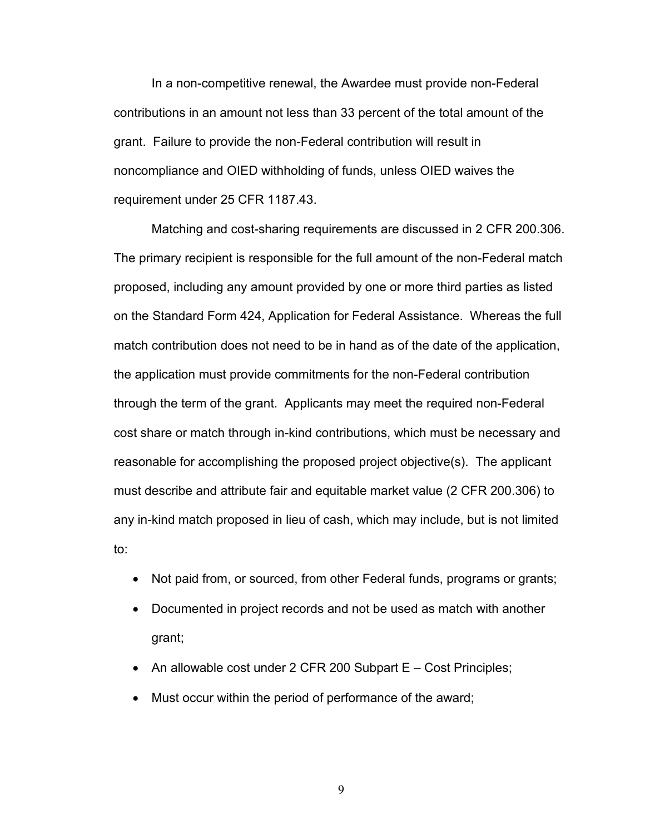In a non-competitive renewal, the Awardee must provide non-Federal contributions in an amount not less than 33 percent of the total amount of the grant. Failure to provide the non-Federal contribution will result in noncompliance and OIED withholding of funds, unless OIED waives the requirement under 25 CFR 1187.43.

Matching and cost-sharing requirements are discussed in 2 CFR 200.306. The primary recipient is responsible for the full amount of the non-Federal match proposed, including any amount provided by one or more third parties as listed on the Standard Form 424, Application for Federal Assistance. Whereas the full match contribution does not need to be in hand as of the date of the application, the application must provide commitments for the non-Federal contribution through the term of the grant. Applicants may meet the required non-Federal cost share or match through in-kind contributions, which must be necessary and reasonable for accomplishing the proposed project objective(s). The applicant must describe and attribute fair and equitable market value (2 CFR 200.306) to any in-kind match proposed in lieu of cash, which may include, but is not limited to:

- Not paid from, or sourced, from other Federal funds, programs or grants;
- Documented in project records and not be used as match with another grant;
- An allowable cost under 2 CFR 200 Subpart E Cost Principles;
- Must occur within the period of performance of the award;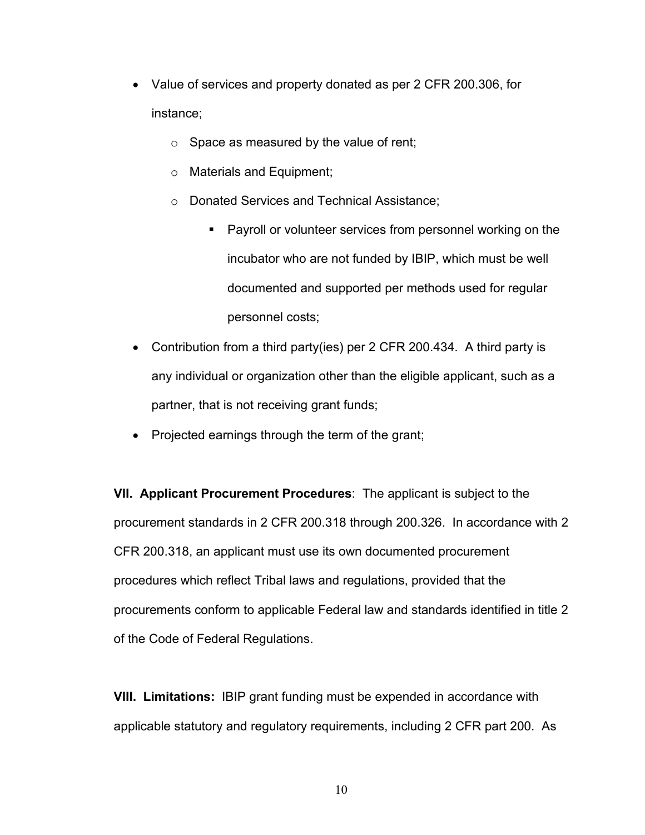- Value of services and property donated as per 2 CFR 200.306, for instance;
	- $\circ$  Space as measured by the value of rent;
	- o Materials and Equipment;
	- o Donated Services and Technical Assistance;
		- **Payroll or volunteer services from personnel working on the** incubator who are not funded by IBIP, which must be well documented and supported per methods used for regular personnel costs;
- Contribution from a third party(ies) per 2 CFR 200.434. A third party is any individual or organization other than the eligible applicant, such as a partner, that is not receiving grant funds;
- Projected earnings through the term of the grant;

**VII. Applicant Procurement Procedures**: The applicant is subject to the procurement standards in 2 CFR 200.318 through 200.326. In accordance with 2 CFR 200.318, an applicant must use its own documented procurement procedures which reflect Tribal laws and regulations, provided that the procurements conform to applicable Federal law and standards identified in title 2 of the Code of Federal Regulations.

**VIII. Limitations:** IBIP grant funding must be expended in accordance with applicable statutory and regulatory requirements, including 2 CFR part 200. As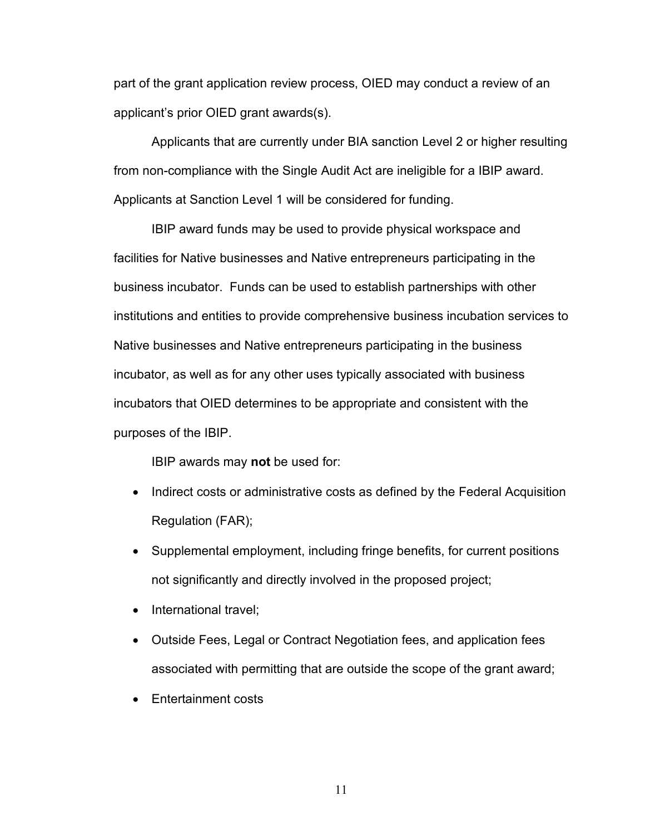part of the grant application review process, OIED may conduct a review of an applicant's prior OIED grant awards(s).

Applicants that are currently under BIA sanction Level 2 or higher resulting from non-compliance with the Single Audit Act are ineligible for a IBIP award. Applicants at Sanction Level 1 will be considered for funding.

IBIP award funds may be used to provide physical workspace and facilities for Native businesses and Native entrepreneurs participating in the business incubator. Funds can be used to establish partnerships with other institutions and entities to provide comprehensive business incubation services to Native businesses and Native entrepreneurs participating in the business incubator, as well as for any other uses typically associated with business incubators that OIED determines to be appropriate and consistent with the purposes of the IBIP.

IBIP awards may **not** be used for:

- Indirect costs or administrative costs as defined by the Federal Acquisition Regulation (FAR);
- Supplemental employment, including fringe benefits, for current positions not significantly and directly involved in the proposed project;
- International travel;
- Outside Fees, Legal or Contract Negotiation fees, and application fees associated with permitting that are outside the scope of the grant award;
- Entertainment costs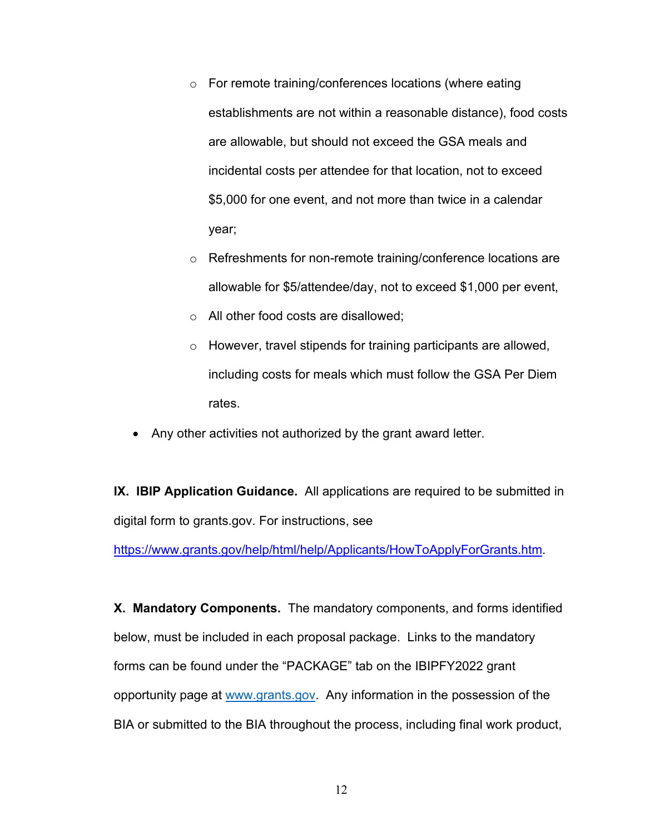- o For remote training/conferences locations (where eating establishments are not within a reasonable distance), food costs are allowable, but should not exceed the GSA meals and incidental costs per attendee for that location, not to exceed \$5,000 for one event, and not more than twice in a calendar year;
- o Refreshments for non-remote training/conference locations are allowable for \$5/attendee/day, not to exceed \$1,000 per event,
- o All other food costs are disallowed;
- o However, travel stipends for training participants are allowed, including costs for meals which must follow the GSA Per Diem rates.
- Any other activities not authorized by the grant award letter.

**IX. IBIP Application Guidance.** All applications are required to be submitted in digital form to grants.gov. For instructions, see

[https://www.grants.gov/help/html/help/Applicants/HowToApplyForGrants.htm.](https://www.grants.gov/help/html/help/Applicants/HowToApplyForGrants.htm)

**X. Mandatory Components.** The mandatory components, and forms identified below, must be included in each proposal package. Links to the mandatory forms can be found under the "PACKAGE" tab on the IBIPFY2022 grant opportunity page at [www.grants.gov.](http://www.grants.gov/) Any information in the possession of the BIA or submitted to the BIA throughout the process, including final work product,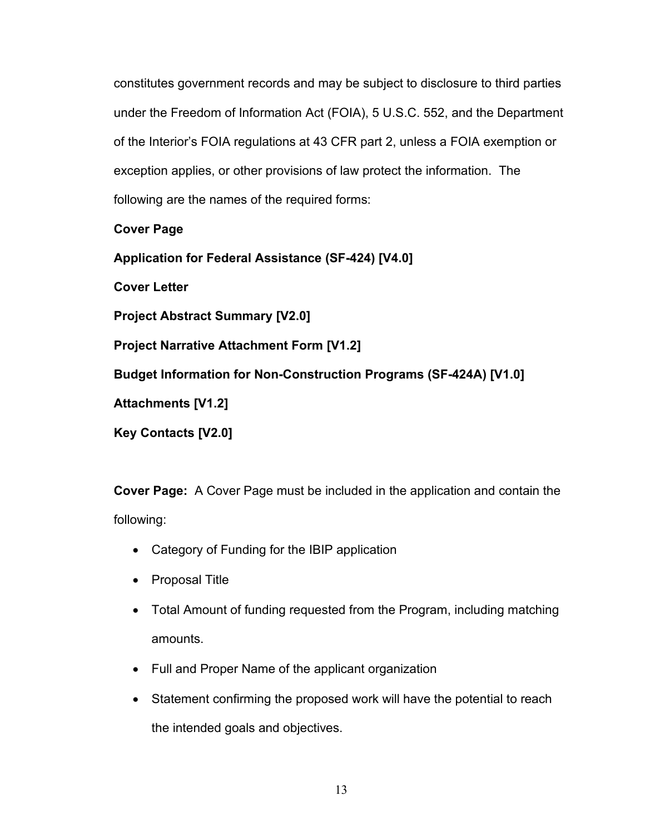constitutes government records and may be subject to disclosure to third parties under the Freedom of Information Act (FOIA), 5 U.S.C. 552, and the Department of the Interior's FOIA regulations at 43 CFR part 2, unless a FOIA exemption or exception applies, or other provisions of law protect the information. The following are the names of the required forms:

**Cover Page**

**[Application for Federal Assistance \(SF-424\) \[V4.0\]](https://apply07.grants.gov/apply/forms/readonly/SF424_3_0-V3.0.pdf)**

**Cover Letter**

**[Project Abstract Summary \[V2.0\]](https://apply07.grants.gov/apply/forms/readonly/Project_AbstractSummary_2_0-V2.0.pdf)**

**[Project Narrative Attachment Form \[V1.2\]](https://apply07.grants.gov/apply/forms/readonly/ProjectNarrativeAttachments_1_2-V1.2.pdf)**

**[Budget Information for Non-Construction Programs \(SF-424A\) \[V1.0\]](https://apply07.grants.gov/apply/forms/readonly/SF424A-V1.0.pdf)**

**[Attachments \[V1.2\]](https://apply07.grants.gov/apply/forms/readonly/AttachmentForm_1_2-V1.2.pdf)**

**[Key Contacts \[V2.0\]](https://apply07.grants.gov/apply/forms/readonly/Key_Contacts_2_0-V2.0.pdf)**

**Cover Page:** A Cover Page must be included in the application and contain the following:

- Category of Funding for the IBIP application
- Proposal Title
- Total Amount of funding requested from the Program, including matching amounts.
- Full and Proper Name of the applicant organization
- Statement confirming the proposed work will have the potential to reach the intended goals and objectives.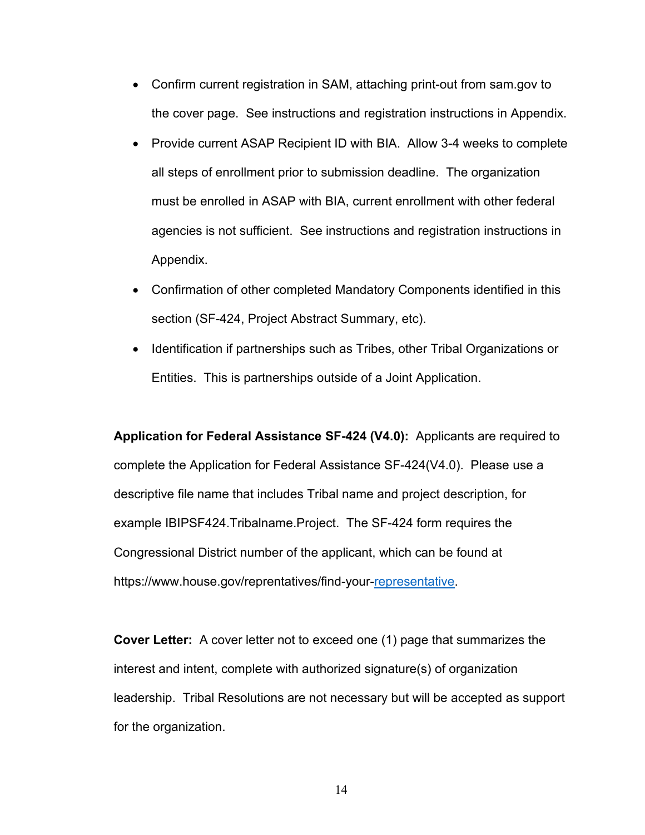- Confirm current registration in SAM, attaching print-out from sam.gov to the cover page. See instructions and registration instructions in Appendix.
- Provide current ASAP Recipient ID with BIA. Allow 3-4 weeks to complete all steps of enrollment prior to submission deadline. The organization must be enrolled in ASAP with BIA, current enrollment with other federal agencies is not sufficient. See instructions and registration instructions in Appendix.
- Confirmation of other completed Mandatory Components identified in this section (SF-424, Project Abstract Summary, etc).
- Identification if partnerships such as Tribes, other Tribal Organizations or Entities. This is partnerships outside of a Joint Application.

**Application for Federal Assistance SF-424 (V4.0):** Applicants are required to complete the Application for Federal Assistance SF-424(V4.0). Please use a descriptive file name that includes Tribal name and project description, for example IBIPSF424.Tribalname.Project. The SF-424 form requires the Congressional District number of the applicant, which can be found at [https://www.house.gov/reprentatives/find-your-representative.](https://www.house.gov/reprentatives/find-your-representative)

**Cover Letter:** A cover letter not to exceed one (1) page that summarizes the interest and intent, complete with authorized signature(s) of organization leadership. Tribal Resolutions are not necessary but will be accepted as support for the organization.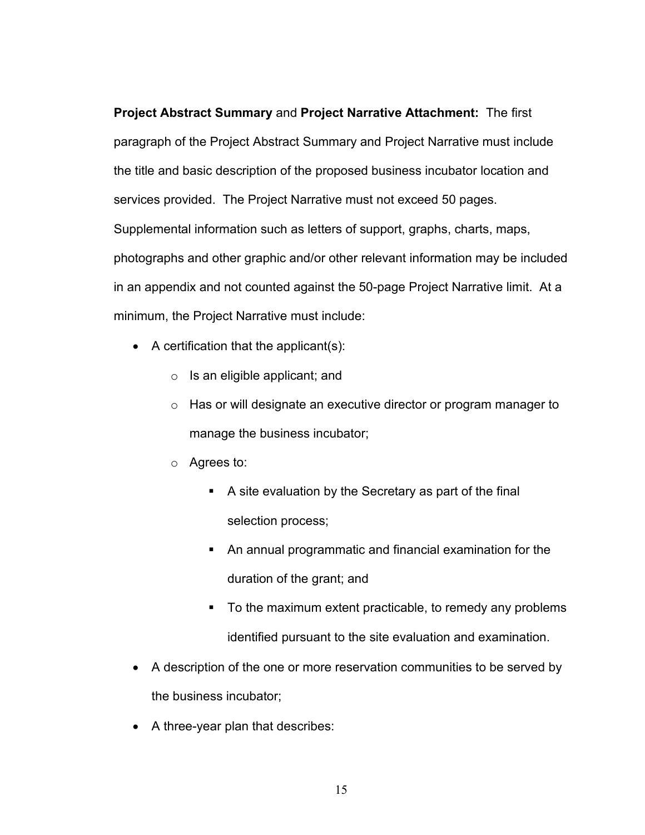**Project Abstract Summary** and **Project Narrative Attachment:** The first paragraph of the Project Abstract Summary and Project Narrative must include the title and basic description of the proposed business incubator location and services provided. The Project Narrative must not exceed 50 pages. Supplemental information such as letters of support, graphs, charts, maps, photographs and other graphic and/or other relevant information may be included in an appendix and not counted against the 50-page Project Narrative limit. At a minimum, the Project Narrative must include:

- A certification that the applicant(s):
	- $\circ$  Is an eligible applicant; and
	- o Has or will designate an executive director or program manager to manage the business incubator;
	- o Agrees to:
		- A site evaluation by the Secretary as part of the final selection process;
		- An annual programmatic and financial examination for the duration of the grant; and
		- To the maximum extent practicable, to remedy any problems identified pursuant to the site evaluation and examination.
- A description of the one or more reservation communities to be served by the business incubator;
- A three-year plan that describes: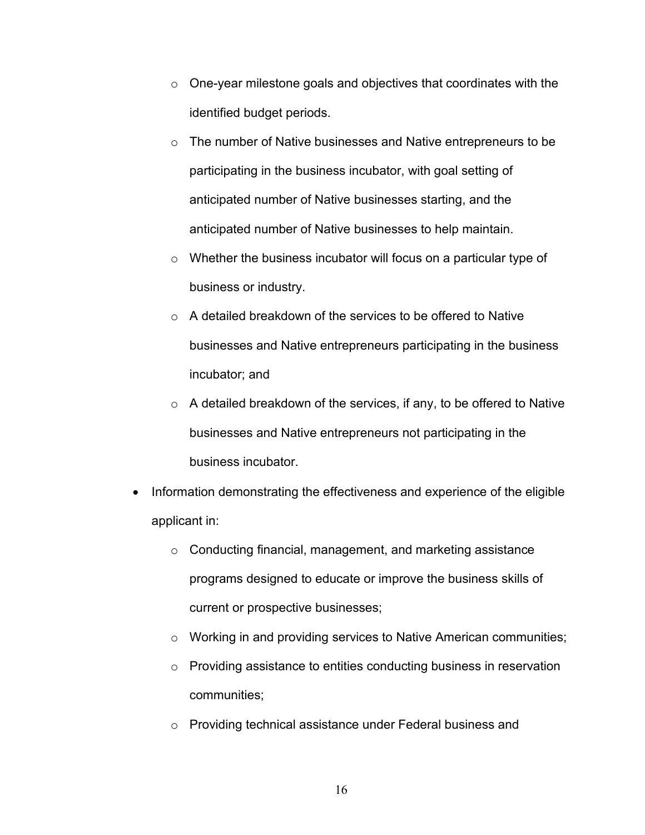- o One-year milestone goals and objectives that coordinates with the identified budget periods.
- o The number of Native businesses and Native entrepreneurs to be participating in the business incubator, with goal setting of anticipated number of Native businesses starting, and the anticipated number of Native businesses to help maintain.
- o Whether the business incubator will focus on a particular type of business or industry.
- o A detailed breakdown of the services to be offered to Native businesses and Native entrepreneurs participating in the business incubator; and
- $\circ$  A detailed breakdown of the services, if any, to be offered to Native businesses and Native entrepreneurs not participating in the business incubator.
- Information demonstrating the effectiveness and experience of the eligible applicant in:
	- o Conducting financial, management, and marketing assistance programs designed to educate or improve the business skills of current or prospective businesses;
	- o Working in and providing services to Native American communities;
	- o Providing assistance to entities conducting business in reservation communities;
	- o Providing technical assistance under Federal business and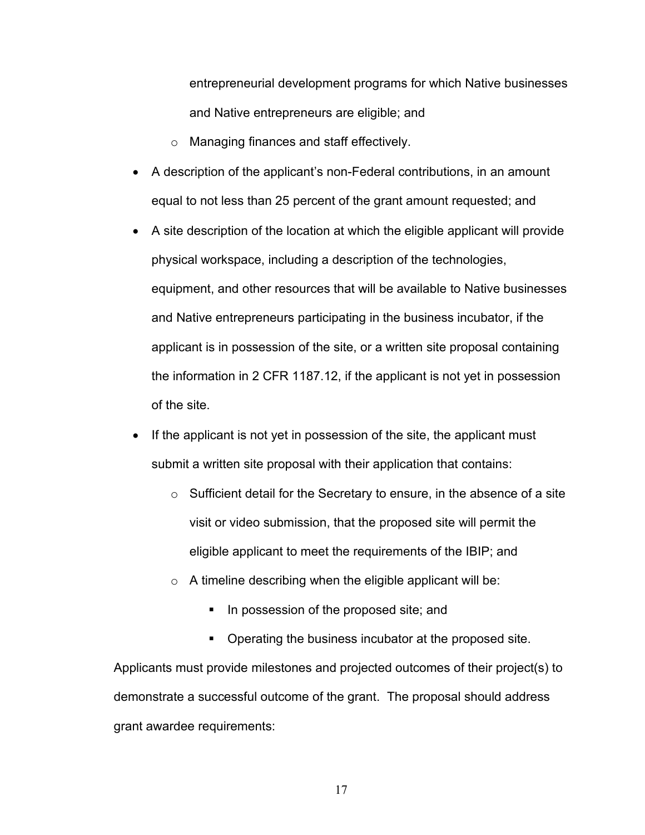entrepreneurial development programs for which Native businesses and Native entrepreneurs are eligible; and

- o Managing finances and staff effectively.
- A description of the applicant's non-Federal contributions, in an amount equal to not less than 25 percent of the grant amount requested; and
- A site description of the location at which the eligible applicant will provide physical workspace, including a description of the technologies, equipment, and other resources that will be available to Native businesses and Native entrepreneurs participating in the business incubator, if the applicant is in possession of the site, or a written site proposal containing the information in 2 CFR 1187.12, if the applicant is not yet in possession of the site.
- If the applicant is not yet in possession of the site, the applicant must submit a written site proposal with their application that contains:
	- o Sufficient detail for the Secretary to ensure, in the absence of a site visit or video submission, that the proposed site will permit the eligible applicant to meet the requirements of the IBIP; and
	- $\circ$  A timeline describing when the eligible applicant will be:
		- In possession of the proposed site; and
		- **Operating the business incubator at the proposed site.**

Applicants must provide milestones and projected outcomes of their project(s) to demonstrate a successful outcome of the grant. The proposal should address grant awardee requirements: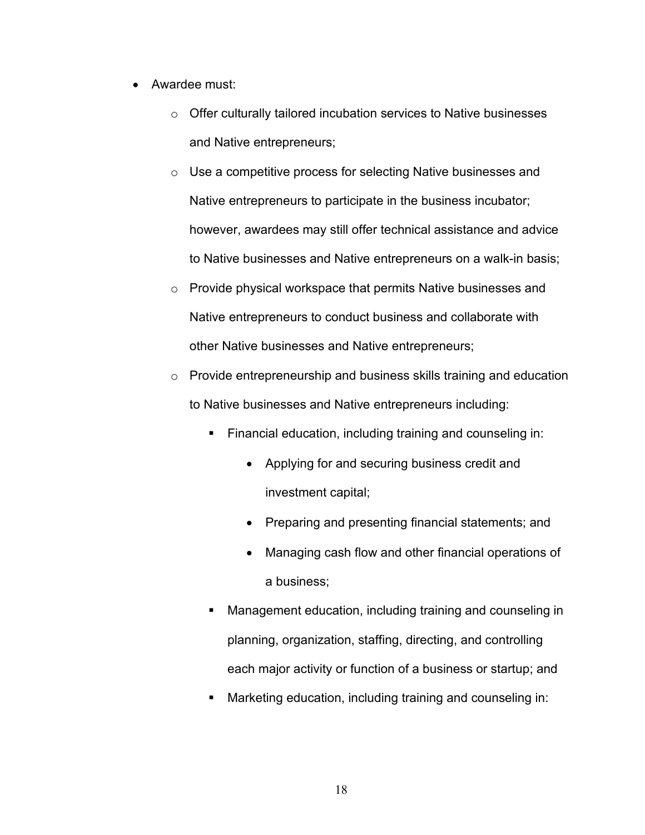- Awardee must:
	- o Offer culturally tailored incubation services to Native businesses and Native entrepreneurs;
	- o Use a competitive process for selecting Native businesses and Native entrepreneurs to participate in the business incubator; however, awardees may still offer technical assistance and advice to Native businesses and Native entrepreneurs on a walk-in basis;
	- o Provide physical workspace that permits Native businesses and Native entrepreneurs to conduct business and collaborate with other Native businesses and Native entrepreneurs;
	- o Provide entrepreneurship and business skills training and education to Native businesses and Native entrepreneurs including:
		- **Financial education, including training and counseling in:** 
			- Applying for and securing business credit and investment capital;
			- Preparing and presenting financial statements; and
			- Managing cash flow and other financial operations of a business;
		- Management education, including training and counseling in planning, organization, staffing, directing, and controlling each major activity or function of a business or startup; and
		- Marketing education, including training and counseling in: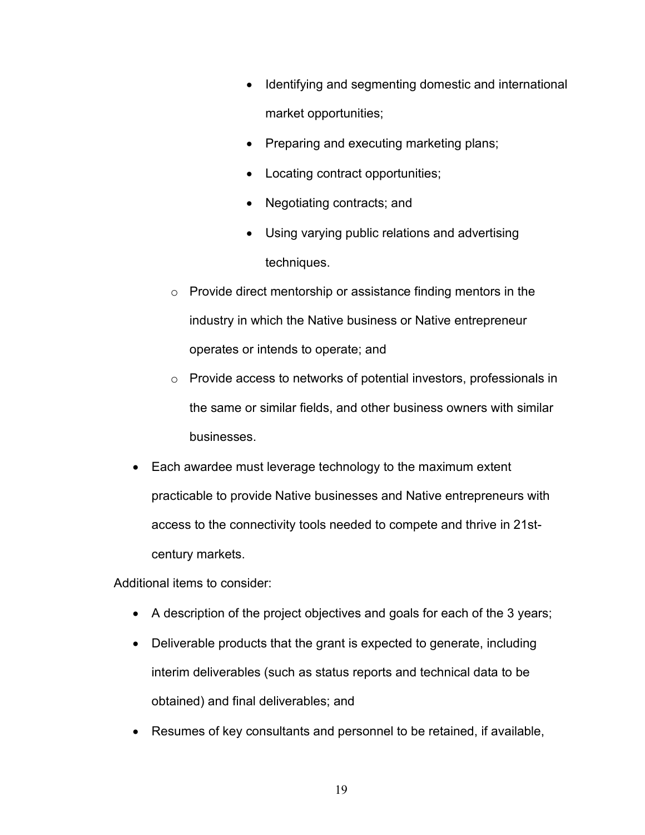- Identifying and segmenting domestic and international market opportunities;
- Preparing and executing marketing plans;
- Locating contract opportunities;
- Negotiating contracts; and
- Using varying public relations and advertising techniques.
- $\circ$  Provide direct mentorship or assistance finding mentors in the industry in which the Native business or Native entrepreneur operates or intends to operate; and
- o Provide access to networks of potential investors, professionals in the same or similar fields, and other business owners with similar businesses.
- Each awardee must leverage technology to the maximum extent practicable to provide Native businesses and Native entrepreneurs with access to the connectivity tools needed to compete and thrive in 21stcentury markets.

Additional items to consider:

- A description of the project objectives and goals for each of the 3 years;
- Deliverable products that the grant is expected to generate, including interim deliverables (such as status reports and technical data to be obtained) and final deliverables; and
- Resumes of key consultants and personnel to be retained, if available,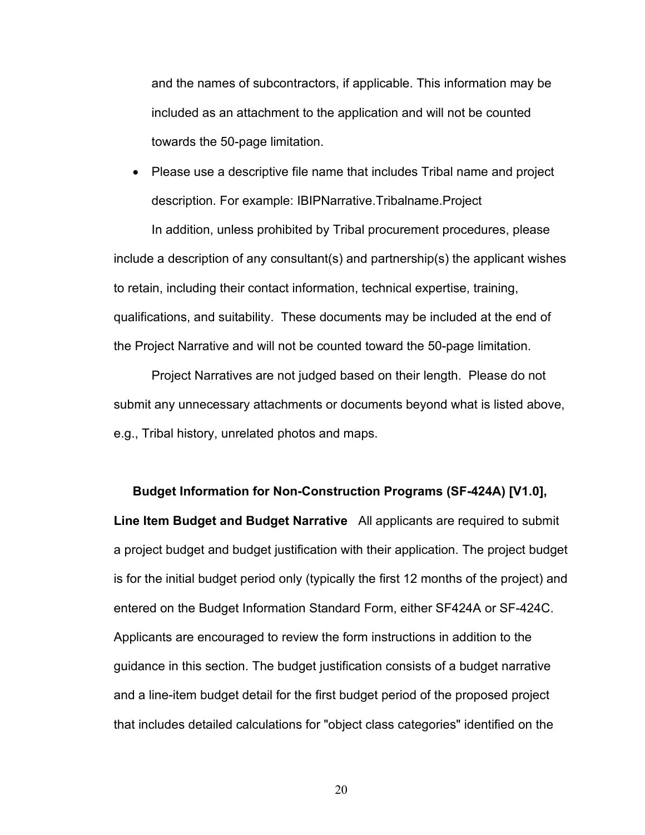and the names of subcontractors, if applicable. This information may be included as an attachment to the application and will not be counted towards the 50-page limitation.

• Please use a descriptive file name that includes Tribal name and project description. For example: IBIPNarrative.Tribalname.Project

In addition, unless prohibited by Tribal procurement procedures, please include a description of any consultant(s) and partnership(s) the applicant wishes to retain, including their contact information, technical expertise, training, qualifications, and suitability. These documents may be included at the end of the Project Narrative and will not be counted toward the 50-page limitation.

Project Narratives are not judged based on their length. Please do not submit any unnecessary attachments or documents beyond what is listed above, e.g., Tribal history, unrelated photos and maps.

**[Budget Information for Non-Construction Programs \(SF-424A\) \[V1.0\],](https://apply07.grants.gov/apply/forms/readonly/SF424A-V1.0.pdf) Line Item Budget and Budget Narrative** All applicants are required to submit a project budget and budget justification with their application. The project budget is for the initial budget period only (typically the first 12 months of the project) and entered on the Budget Information Standard Form, either SF424A or SF-424C. Applicants are encouraged to review the form instructions in addition to the guidance in this section. The budget justification consists of a budget narrative and a line-item budget detail for the first budget period of the proposed project that includes detailed calculations for "object class categories" identified on the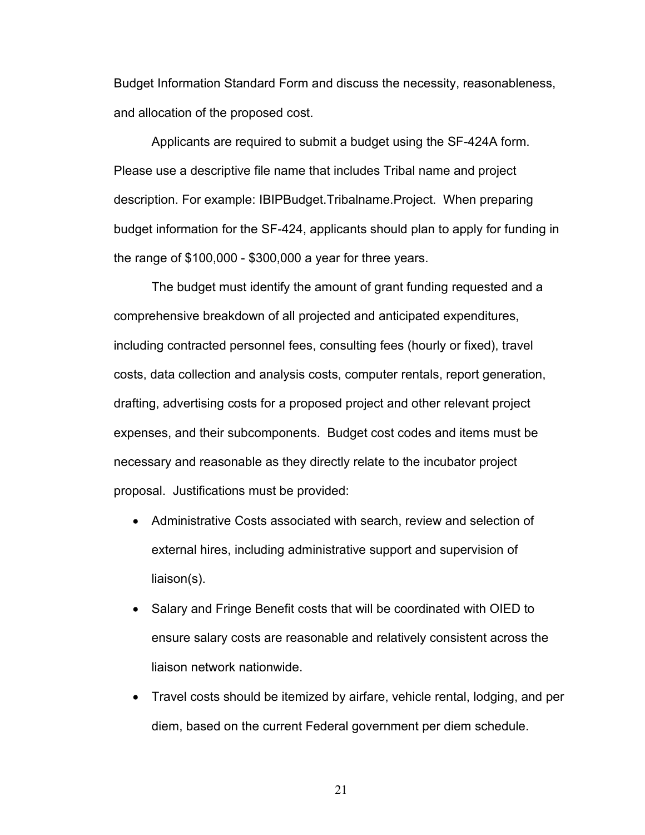Budget Information Standard Form and discuss the necessity, reasonableness, and allocation of the proposed cost.

Applicants are required to submit a budget using the SF-424A form. Please use a descriptive file name that includes Tribal name and project description. For example: IBIPBudget.Tribalname.Project. When preparing budget information for the SF-424, applicants should plan to apply for funding in the range of \$100,000 - \$300,000 a year for three years.

The budget must identify the amount of grant funding requested and a comprehensive breakdown of all projected and anticipated expenditures, including contracted personnel fees, consulting fees (hourly or fixed), travel costs, data collection and analysis costs, computer rentals, report generation, drafting, advertising costs for a proposed project and other relevant project expenses, and their subcomponents. Budget cost codes and items must be necessary and reasonable as they directly relate to the incubator project proposal. Justifications must be provided:

- Administrative Costs associated with search, review and selection of external hires, including administrative support and supervision of liaison(s).
- Salary and Fringe Benefit costs that will be coordinated with OIED to ensure salary costs are reasonable and relatively consistent across the liaison network nationwide.
- Travel costs should be itemized by airfare, vehicle rental, lodging, and per diem, based on the current Federal government per diem schedule.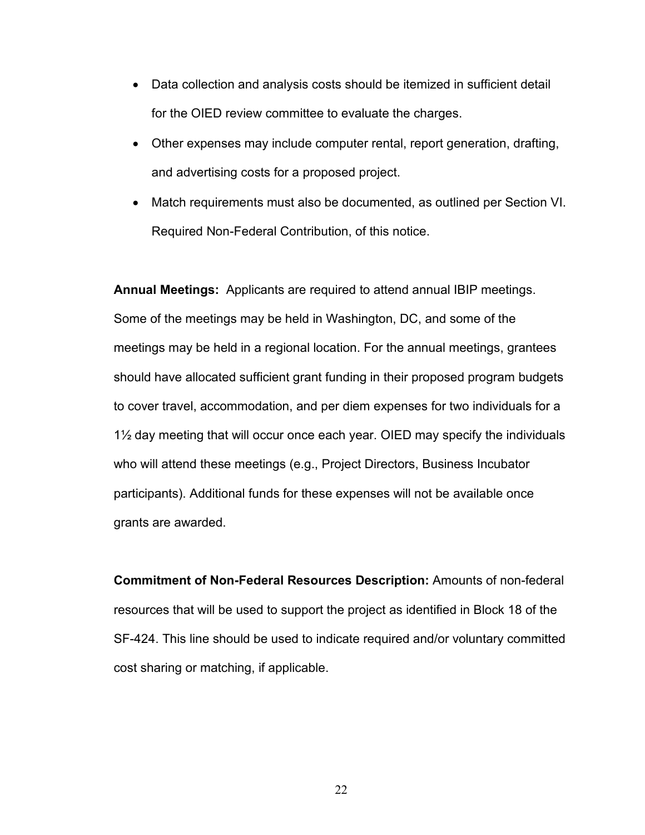- Data collection and analysis costs should be itemized in sufficient detail for the OIED review committee to evaluate the charges.
- Other expenses may include computer rental, report generation, drafting, and advertising costs for a proposed project.
- Match requirements must also be documented, as outlined per Section VI. Required Non-Federal Contribution, of this notice.

**Annual Meetings:** Applicants are required to attend annual IBIP meetings. Some of the meetings may be held in Washington, DC, and some of the meetings may be held in a regional location. For the annual meetings, grantees should have allocated sufficient grant funding in their proposed program budgets to cover travel, accommodation, and per diem expenses for two individuals for a 1½ day meeting that will occur once each year. OIED may specify the individuals who will attend these meetings (e.g., Project Directors, Business Incubator participants). Additional funds for these expenses will not be available once grants are awarded.

**Commitment of Non-Federal Resources Description:** Amounts of non-federal resources that will be used to support the project as identified in Block 18 of the SF-424. This line should be used to indicate required and/or voluntary committed cost sharing or matching, if applicable.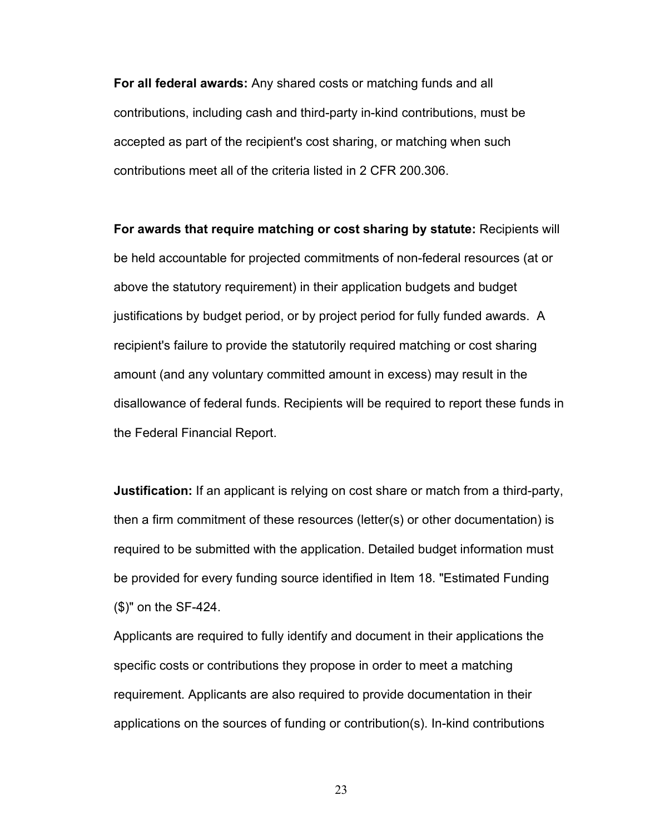**For all federal awards:** Any shared costs or matching funds and all contributions, including cash and third-party in-kind contributions, must be accepted as part of the recipient's cost sharing, or matching when such contributions meet all of the criteria listed in 2 CFR 200.306.

**For awards that require matching or cost sharing by statute:** Recipients will be held accountable for projected commitments of non-federal resources (at or above the statutory requirement) in their application budgets and budget justifications by budget period, or by project period for fully funded awards. A recipient's failure to provide the statutorily required matching or cost sharing amount (and any voluntary committed amount in excess) may result in the disallowance of federal funds. Recipients will be required to report these funds in the Federal Financial Report.

**Justification:** If an applicant is relying on cost share or match from a third-party, then a firm commitment of these resources (letter(s) or other documentation) is required to be submitted with the application. Detailed budget information must be provided for every funding source identified in Item 18. "Estimated Funding (\$)" on the SF-424.

Applicants are required to fully identify and document in their applications the specific costs or contributions they propose in order to meet a matching requirement. Applicants are also required to provide documentation in their applications on the sources of funding or contribution(s). In-kind contributions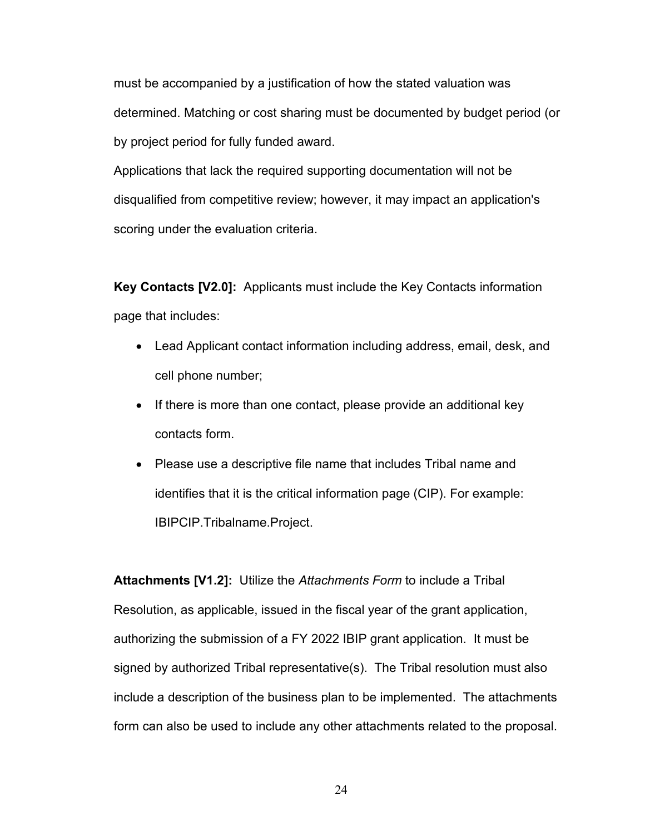must be accompanied by a justification of how the stated valuation was determined. Matching or cost sharing must be documented by budget period (or by project period for fully funded award.

Applications that lack the required supporting documentation will not be disqualified from competitive review; however, it may impact an application's scoring under the evaluation criteria.

**[Key Contacts \[V2.0\]:](https://apply07.grants.gov/apply/forms/readonly/Key_Contacts_2_0-V2.0.pdf)** Applicants must include the Key Contacts information page that includes:

- Lead Applicant contact information including address, email, desk, and cell phone number;
- If there is more than one contact, please provide an additional key contacts form.
- Please use a descriptive file name that includes Tribal name and identifies that it is the critical information page (CIP). For example: IBIPCIP.Tribalname.Project.

**[Attachments \[V1.2\]:](https://apply07.grants.gov/apply/forms/readonly/AttachmentForm_1_2-V1.2.pdf)** Utilize the *Attachments Form* to include a Tribal Resolution, as applicable, issued in the fiscal year of the grant application, authorizing the submission of a FY 2022 IBIP grant application. It must be signed by authorized Tribal representative(s). The Tribal resolution must also include a description of the business plan to be implemented. The attachments form can also be used to include any other attachments related to the proposal.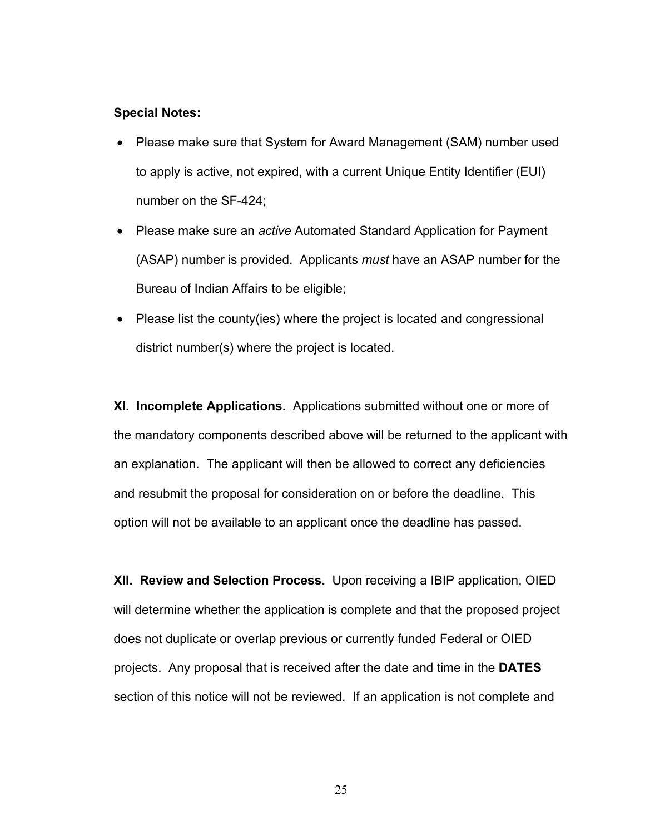#### **Special Notes:**

- Please make sure that System for Award Management (SAM) number used to apply is active, not expired, with a current Unique Entity Identifier (EUI) number on the SF-424;
- Please make sure an *active* Automated Standard Application for Payment (ASAP) number is provided. Applicants *must* have an ASAP number for the Bureau of Indian Affairs to be eligible;
- Please list the county (ies) where the project is located and congressional district number(s) where the project is located.

**XI. Incomplete Applications.** Applications submitted without one or more of the mandatory components described above will be returned to the applicant with an explanation. The applicant will then be allowed to correct any deficiencies and resubmit the proposal for consideration on or before the deadline. This option will not be available to an applicant once the deadline has passed.

**XII. Review and Selection Process.** Upon receiving a IBIP application, OIED will determine whether the application is complete and that the proposed project does not duplicate or overlap previous or currently funded Federal or OIED projects. Any proposal that is received after the date and time in the **DATES** section of this notice will not be reviewed. If an application is not complete and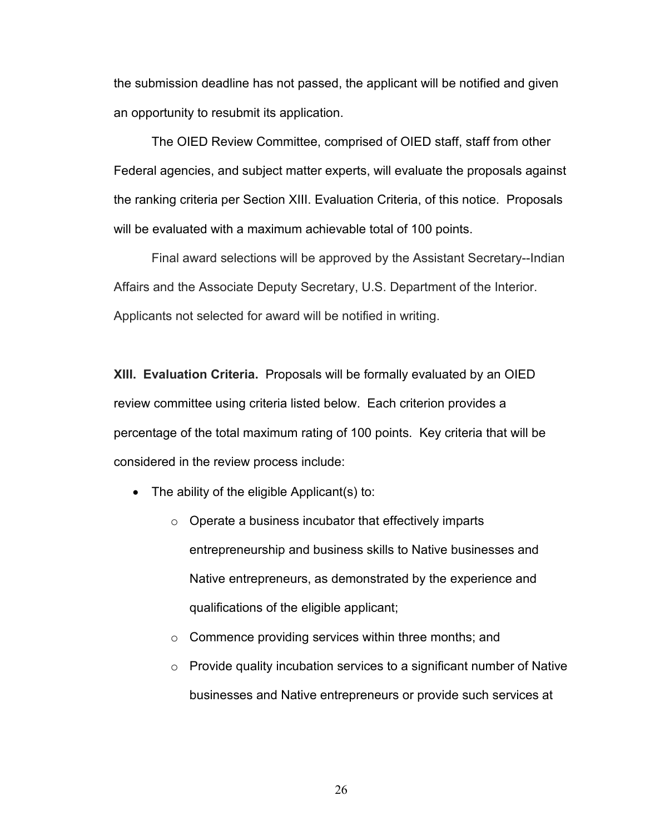the submission deadline has not passed, the applicant will be notified and given an opportunity to resubmit its application.

The OIED Review Committee, comprised of OIED staff, staff from other Federal agencies, and subject matter experts, will evaluate the proposals against the ranking criteria per Section XIII. Evaluation Criteria, of this notice. Proposals will be evaluated with a maximum achievable total of 100 points.

Final award selections will be approved by the Assistant Secretary--Indian Affairs and the Associate Deputy Secretary, U.S. Department of the Interior. Applicants not selected for award will be notified in writing.

**XIII. Evaluation Criteria.** Proposals will be formally evaluated by an OIED review committee using criteria listed below. Each criterion provides a percentage of the total maximum rating of 100 points. Key criteria that will be considered in the review process include:

- The ability of the eligible Applicant(s) to:
	- o Operate a business incubator that effectively imparts entrepreneurship and business skills to Native businesses and Native entrepreneurs, as demonstrated by the experience and qualifications of the eligible applicant;
	- o Commence providing services within three months; and
	- o Provide quality incubation services to a significant number of Native businesses and Native entrepreneurs or provide such services at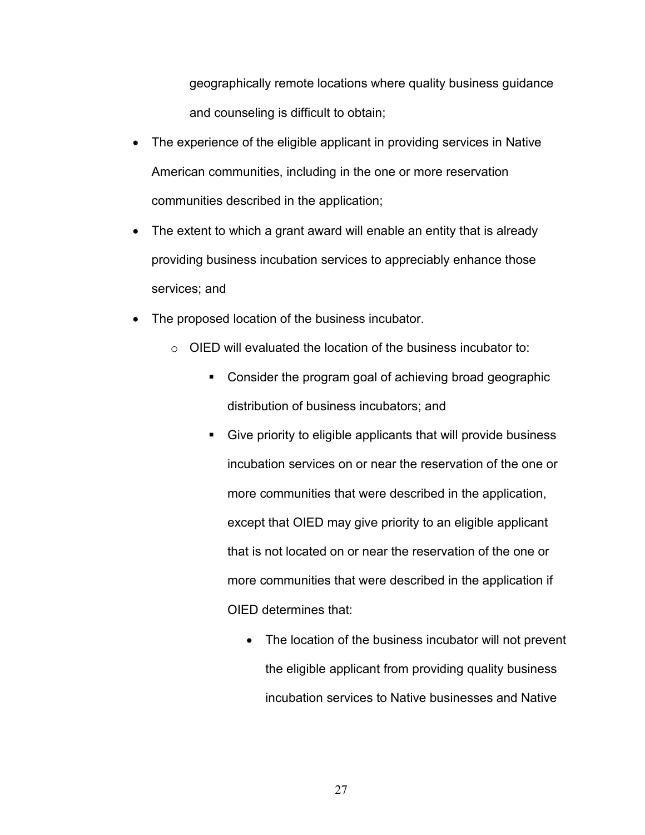geographically remote locations where quality business guidance and counseling is difficult to obtain;

- The experience of the eligible applicant in providing services in Native American communities, including in the one or more reservation communities described in the application;
- The extent to which a grant award will enable an entity that is already providing business incubation services to appreciably enhance those services; and
- The proposed location of the business incubator.
	- o OIED will evaluated the location of the business incubator to:
		- Consider the program goal of achieving broad geographic distribution of business incubators; and
		- Give priority to eligible applicants that will provide business incubation services on or near the reservation of the one or more communities that were described in the application, except that OIED may give priority to an eligible applicant that is not located on or near the reservation of the one or more communities that were described in the application if OIED determines that:
			- The location of the business incubator will not prevent the eligible applicant from providing quality business incubation services to Native businesses and Native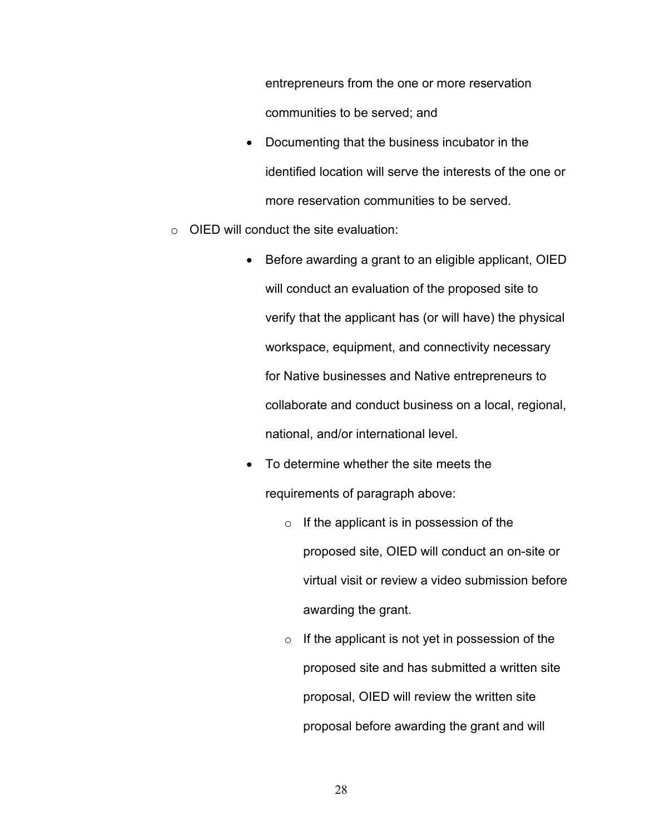entrepreneurs from the one or more reservation communities to be served; and

- Documenting that the business incubator in the identified location will serve the interests of the one or more reservation communities to be served.
- $\circ$  OIED will conduct the site evaluation:
	- Before awarding a grant to an eligible applicant, OIED will conduct an evaluation of the proposed site to verify that the applicant has (or will have) the physical workspace, equipment, and connectivity necessary for Native businesses and Native entrepreneurs to collaborate and conduct business on a local, regional, national, and/or international level.
	- To determine whether the site meets the requirements of paragraph above:
		- $\circ$  If the applicant is in possession of the proposed site, OIED will conduct an on-site or virtual visit or review a video submission before awarding the grant.
		- $\circ$  If the applicant is not yet in possession of the proposed site and has submitted a written site proposal, OIED will review the written site proposal before awarding the grant and will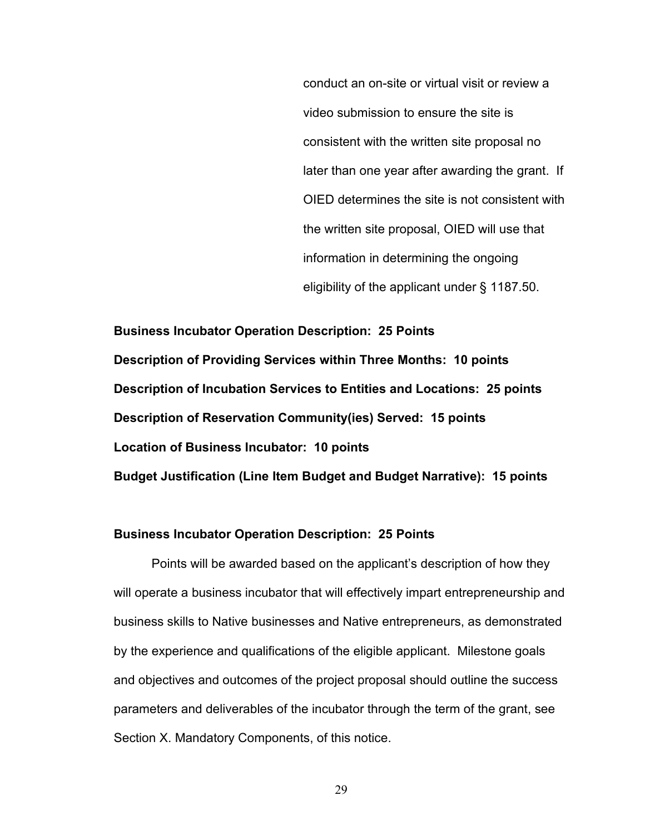conduct an on-site or virtual visit or review a video submission to ensure the site is consistent with the written site proposal no later than one year after awarding the grant. If OIED determines the site is not consistent with the written site proposal, OIED will use that information in determining the ongoing eligibility of the applicant under § 1187.50.

**Business Incubator Operation Description: 25 Points Description of Providing Services within Three Months: 10 points Description of Incubation Services to Entities and Locations: 25 points Description of Reservation Community(ies) Served: 15 points Location of Business Incubator: 10 points Budget Justification (Line Item Budget and Budget Narrative): 15 points**

#### **Business Incubator Operation Description: 25 Points**

Points will be awarded based on the applicant's description of how they will operate a business incubator that will effectively impart entrepreneurship and business skills to Native businesses and Native entrepreneurs, as demonstrated by the experience and qualifications of the eligible applicant. Milestone goals and objectives and outcomes of the project proposal should outline the success parameters and deliverables of the incubator through the term of the grant, see Section X. Mandatory Components, of this notice.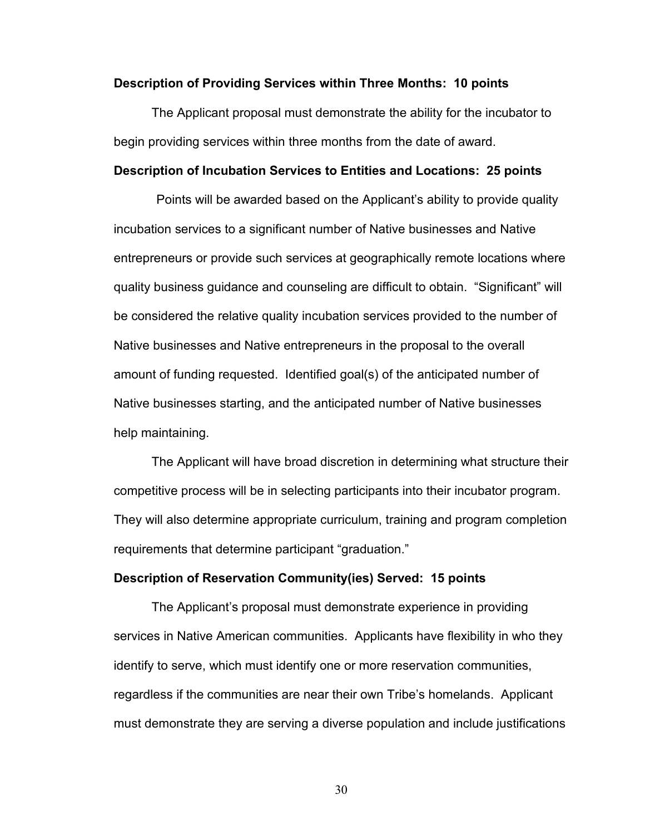#### **Description of Providing Services within Three Months: 10 points**

The Applicant proposal must demonstrate the ability for the incubator to begin providing services within three months from the date of award.

### **Description of Incubation Services to Entities and Locations: 25 points**

Points will be awarded based on the Applicant's ability to provide quality incubation services to a significant number of Native businesses and Native entrepreneurs or provide such services at geographically remote locations where quality business guidance and counseling are difficult to obtain. "Significant" will be considered the relative quality incubation services provided to the number of Native businesses and Native entrepreneurs in the proposal to the overall amount of funding requested. Identified goal(s) of the anticipated number of Native businesses starting, and the anticipated number of Native businesses help maintaining.

The Applicant will have broad discretion in determining what structure their competitive process will be in selecting participants into their incubator program. They will also determine appropriate curriculum, training and program completion requirements that determine participant "graduation."

#### **Description of Reservation Community(ies) Served: 15 points**

The Applicant's proposal must demonstrate experience in providing services in Native American communities. Applicants have flexibility in who they identify to serve, which must identify one or more reservation communities, regardless if the communities are near their own Tribe's homelands. Applicant must demonstrate they are serving a diverse population and include justifications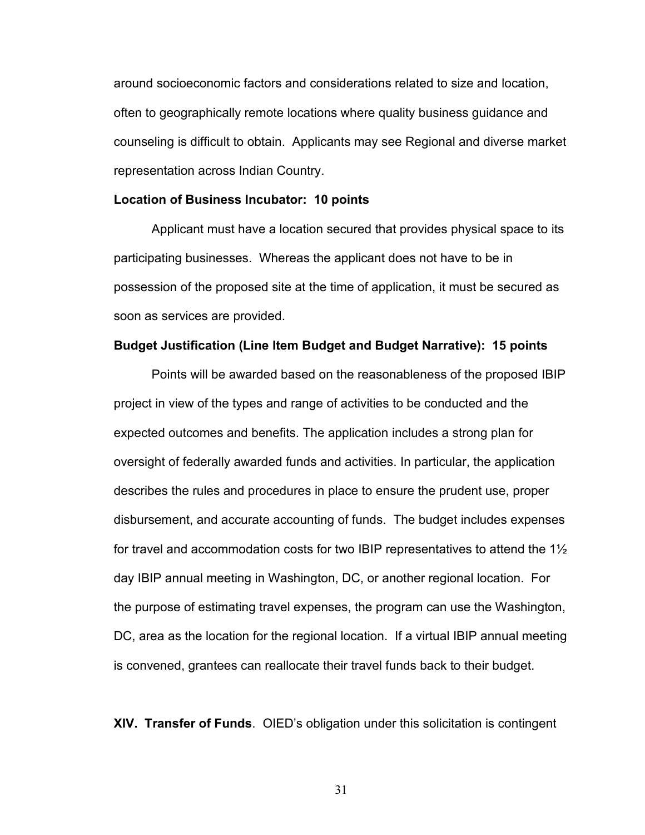around socioeconomic factors and considerations related to size and location, often to geographically remote locations where quality business guidance and counseling is difficult to obtain. Applicants may see Regional and diverse market representation across Indian Country.

#### **Location of Business Incubator: 10 points**

Applicant must have a location secured that provides physical space to its participating businesses. Whereas the applicant does not have to be in possession of the proposed site at the time of application, it must be secured as soon as services are provided.

#### **Budget Justification (Line Item Budget and Budget Narrative): 15 points**

Points will be awarded based on the reasonableness of the proposed IBIP project in view of the types and range of activities to be conducted and the expected outcomes and benefits. The application includes a strong plan for oversight of federally awarded funds and activities. In particular, the application describes the rules and procedures in place to ensure the prudent use, proper disbursement, and accurate accounting of funds. The budget includes expenses for travel and accommodation costs for two IBIP representatives to attend the 1½ day IBIP annual meeting in Washington, DC, or another regional location. For the purpose of estimating travel expenses, the program can use the Washington, DC, area as the location for the regional location. If a virtual IBIP annual meeting is convened, grantees can reallocate their travel funds back to their budget.

**XIV. Transfer of Funds**. OIED's obligation under this solicitation is contingent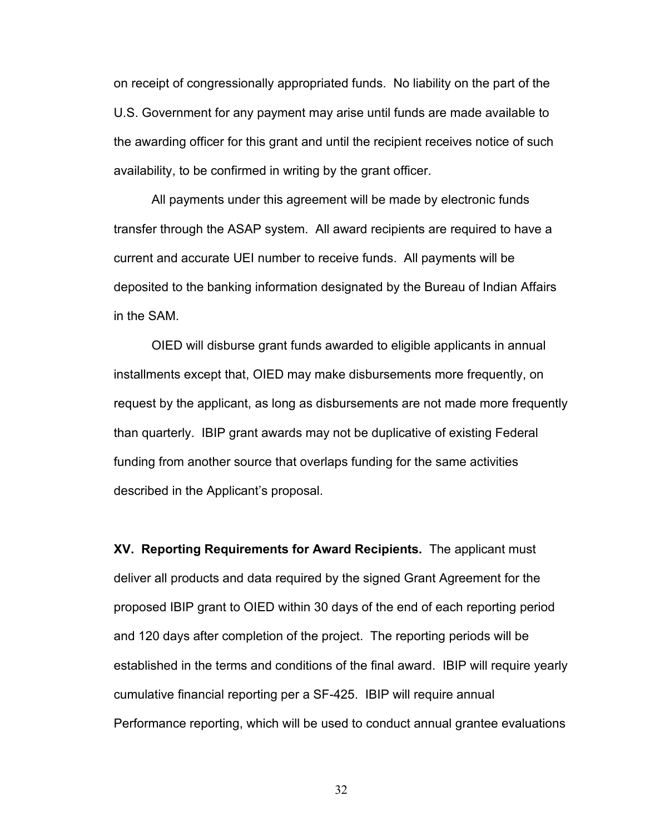on receipt of congressionally appropriated funds. No liability on the part of the U.S. Government for any payment may arise until funds are made available to the awarding officer for this grant and until the recipient receives notice of such availability, to be confirmed in writing by the grant officer.

All payments under this agreement will be made by electronic funds transfer through the ASAP system. All award recipients are required to have a current and accurate UEI number to receive funds. All payments will be deposited to the banking information designated by the Bureau of Indian Affairs in the SAM.

OIED will disburse grant funds awarded to eligible applicants in annual installments except that, OIED may make disbursements more frequently, on request by the applicant, as long as disbursements are not made more frequently than quarterly. IBIP grant awards may not be duplicative of existing Federal funding from another source that overlaps funding for the same activities described in the Applicant's proposal.

**XV. Reporting Requirements for Award Recipients.** The applicant must deliver all products and data required by the signed Grant Agreement for the proposed IBIP grant to OIED within 30 days of the end of each reporting period and 120 days after completion of the project. The reporting periods will be established in the terms and conditions of the final award. IBIP will require yearly cumulative financial reporting per a SF-425. IBIP will require annual Performance reporting, which will be used to conduct annual grantee evaluations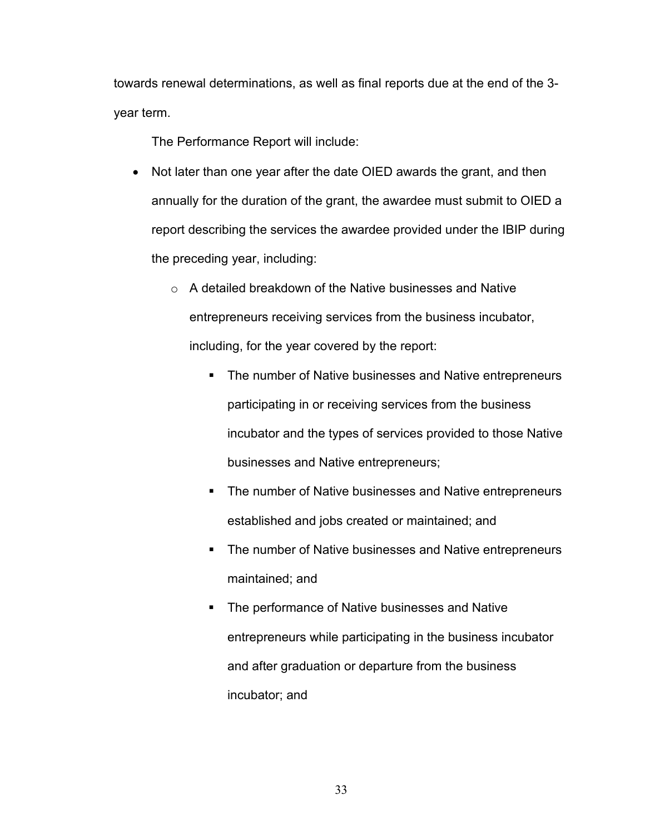towards renewal determinations, as well as final reports due at the end of the 3 year term.

The Performance Report will include:

- Not later than one year after the date OIED awards the grant, and then annually for the duration of the grant, the awardee must submit to OIED a report describing the services the awardee provided under the IBIP during the preceding year, including:
	- o A detailed breakdown of the Native businesses and Native entrepreneurs receiving services from the business incubator, including, for the year covered by the report:
		- **The number of Native businesses and Native entrepreneurs** participating in or receiving services from the business incubator and the types of services provided to those Native businesses and Native entrepreneurs;
		- **The number of Native businesses and Native entrepreneurs** established and jobs created or maintained; and
		- **The number of Native businesses and Native entrepreneurs** maintained; and
		- **The performance of Native businesses and Native** entrepreneurs while participating in the business incubator and after graduation or departure from the business incubator; and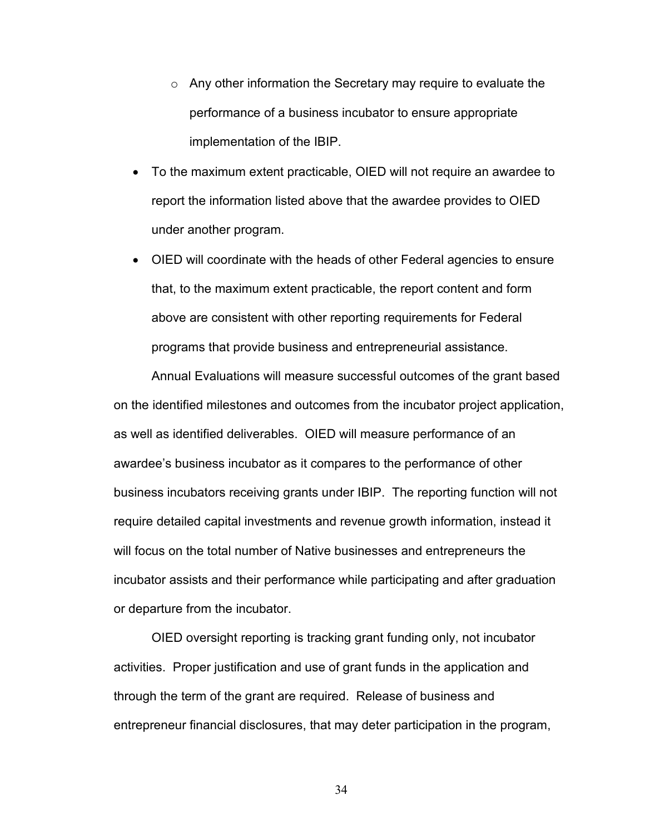- o Any other information the Secretary may require to evaluate the performance of a business incubator to ensure appropriate implementation of the IBIP.
- To the maximum extent practicable, OIED will not require an awardee to report the information listed above that the awardee provides to OIED under another program.
- OIED will coordinate with the heads of other Federal agencies to ensure that, to the maximum extent practicable, the report content and form above are consistent with other reporting requirements for Federal programs that provide business and entrepreneurial assistance.

Annual Evaluations will measure successful outcomes of the grant based on the identified milestones and outcomes from the incubator project application, as well as identified deliverables. OIED will measure performance of an awardee's business incubator as it compares to the performance of other business incubators receiving grants under IBIP. The reporting function will not require detailed capital investments and revenue growth information, instead it will focus on the total number of Native businesses and entrepreneurs the incubator assists and their performance while participating and after graduation or departure from the incubator.

OIED oversight reporting is tracking grant funding only, not incubator activities. Proper justification and use of grant funds in the application and through the term of the grant are required. Release of business and entrepreneur financial disclosures, that may deter participation in the program,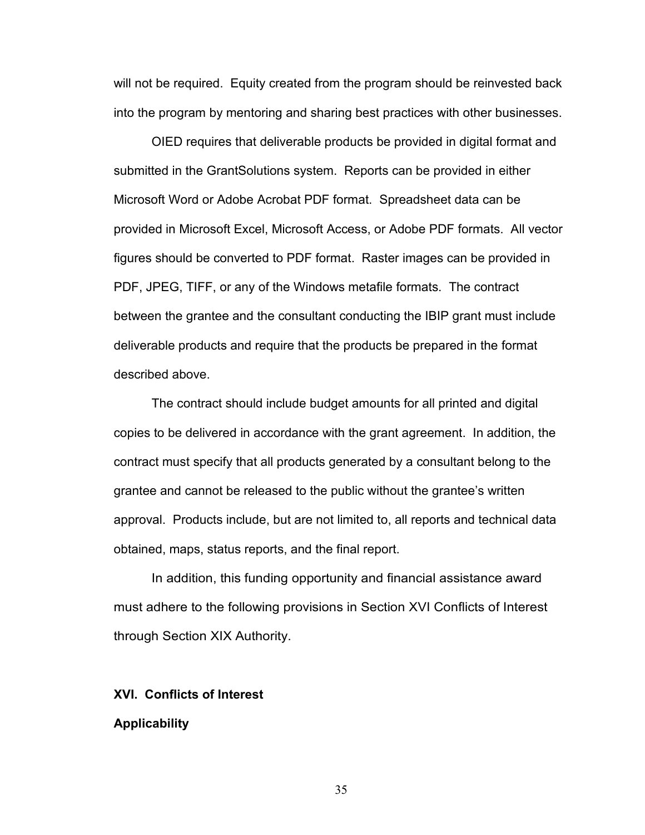will not be required. Equity created from the program should be reinvested back into the program by mentoring and sharing best practices with other businesses.

OIED requires that deliverable products be provided in digital format and submitted in the GrantSolutions system. Reports can be provided in either Microsoft Word or Adobe Acrobat PDF format. Spreadsheet data can be provided in Microsoft Excel, Microsoft Access, or Adobe PDF formats. All vector figures should be converted to PDF format. Raster images can be provided in PDF, JPEG, TIFF, or any of the Windows metafile formats. The contract between the grantee and the consultant conducting the IBIP grant must include deliverable products and require that the products be prepared in the format described above.

The contract should include budget amounts for all printed and digital copies to be delivered in accordance with the grant agreement. In addition, the contract must specify that all products generated by a consultant belong to the grantee and cannot be released to the public without the grantee's written approval. Products include, but are not limited to, all reports and technical data obtained, maps, status reports, and the final report.

In addition, this funding opportunity and financial assistance award must adhere to the following provisions in Section XVI Conflicts of Interest through Section XIX Authority.

## **XVI. Conflicts of Interest**

#### **Applicability**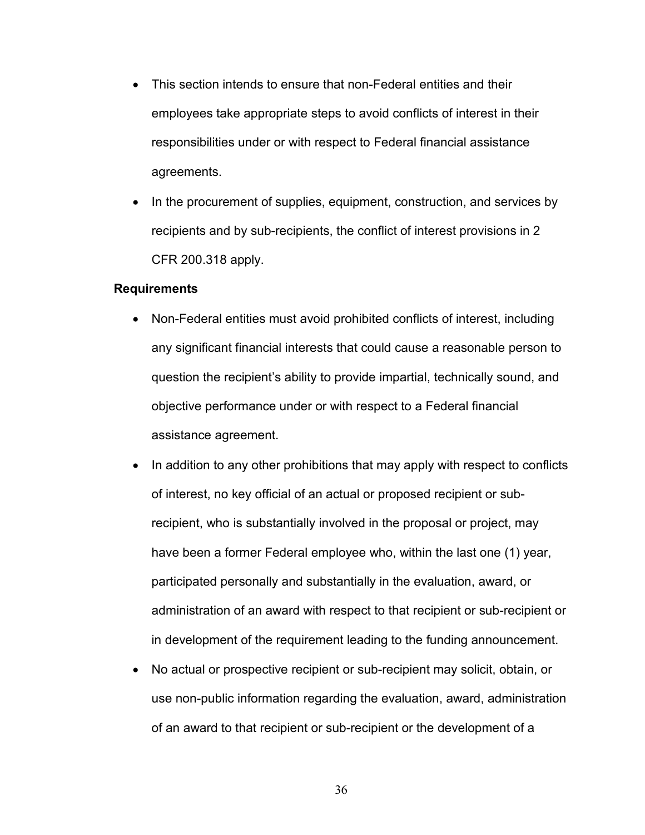- This section intends to ensure that non-Federal entities and their employees take appropriate steps to avoid conflicts of interest in their responsibilities under or with respect to Federal financial assistance agreements.
- In the procurement of supplies, equipment, construction, and services by recipients and by sub-recipients, the conflict of interest provisions in 2 CFR 200.318 apply.

#### **Requirements**

- Non-Federal entities must avoid prohibited conflicts of interest, including any significant financial interests that could cause a reasonable person to question the recipient's ability to provide impartial, technically sound, and objective performance under or with respect to a Federal financial assistance agreement.
- In addition to any other prohibitions that may apply with respect to conflicts of interest, no key official of an actual or proposed recipient or subrecipient, who is substantially involved in the proposal or project, may have been a former Federal employee who, within the last one (1) year, participated personally and substantially in the evaluation, award, or administration of an award with respect to that recipient or sub-recipient or in development of the requirement leading to the funding announcement.
- No actual or prospective recipient or sub-recipient may solicit, obtain, or use non-public information regarding the evaluation, award, administration of an award to that recipient or sub-recipient or the development of a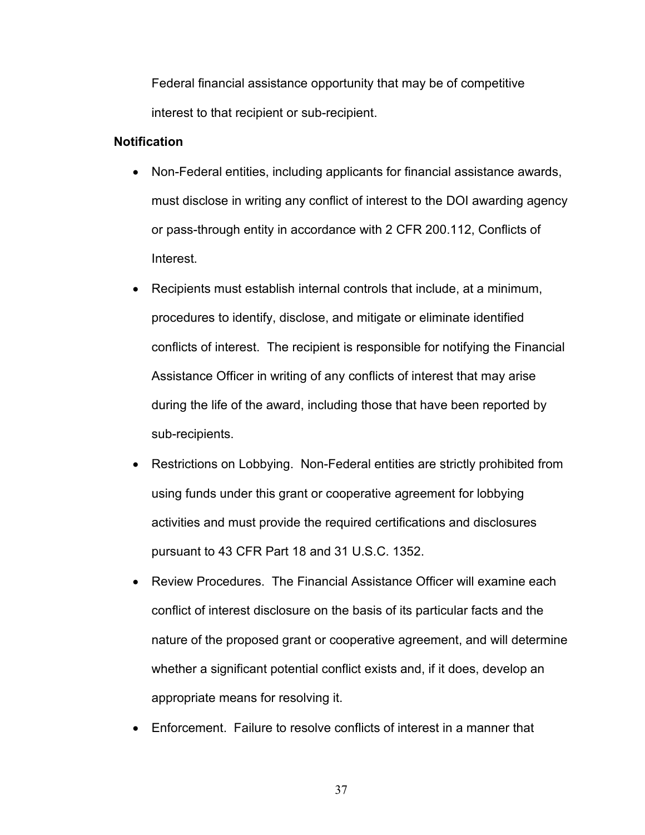Federal financial assistance opportunity that may be of competitive interest to that recipient or sub-recipient.

## **Notification**

- Non-Federal entities, including applicants for financial assistance awards, must disclose in writing any conflict of interest to the DOI awarding agency or pass-through entity in accordance with 2 CFR 200.112, Conflicts of Interest.
- Recipients must establish internal controls that include, at a minimum, procedures to identify, disclose, and mitigate or eliminate identified conflicts of interest. The recipient is responsible for notifying the Financial Assistance Officer in writing of any conflicts of interest that may arise during the life of the award, including those that have been reported by sub-recipients.
- Restrictions on Lobbying. Non-Federal entities are strictly prohibited from using funds under this grant or cooperative agreement for lobbying activities and must provide the required certifications and disclosures pursuant to 43 CFR Part 18 and 31 U.S.C. 1352.
- Review Procedures. The Financial Assistance Officer will examine each conflict of interest disclosure on the basis of its particular facts and the nature of the proposed grant or cooperative agreement, and will determine whether a significant potential conflict exists and, if it does, develop an appropriate means for resolving it.
- Enforcement. Failure to resolve conflicts of interest in a manner that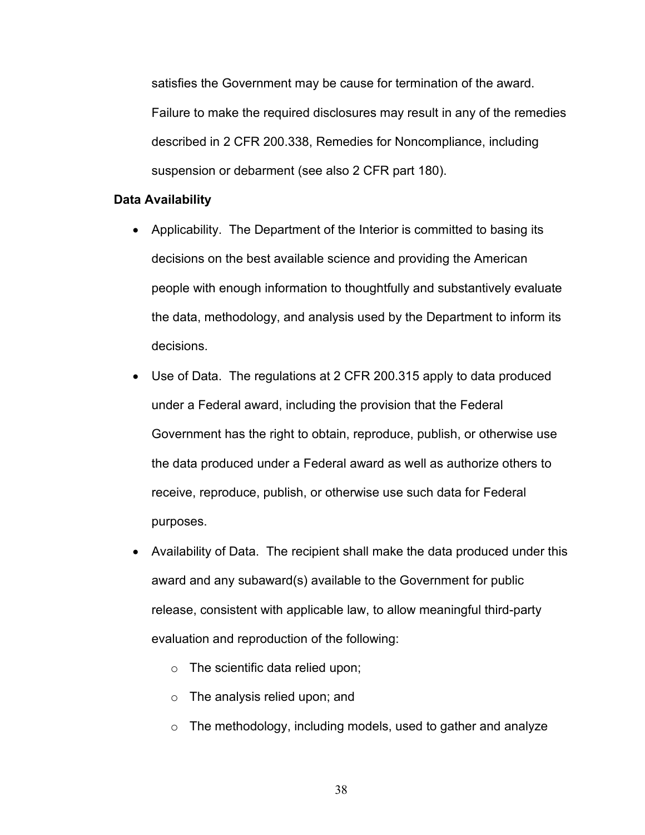satisfies the Government may be cause for termination of the award. Failure to make the required disclosures may result in any of the remedies described in 2 CFR 200.338, Remedies for Noncompliance, including suspension or debarment (see also 2 CFR part 180).

#### **Data Availability**

- Applicability. The Department of the Interior is committed to basing its decisions on the best available science and providing the American people with enough information to thoughtfully and substantively evaluate the data, methodology, and analysis used by the Department to inform its decisions.
- Use of Data. The regulations at 2 CFR 200.315 apply to data produced under a Federal award, including the provision that the Federal Government has the right to obtain, reproduce, publish, or otherwise use the data produced under a Federal award as well as authorize others to receive, reproduce, publish, or otherwise use such data for Federal purposes.
- Availability of Data. The recipient shall make the data produced under this award and any subaward(s) available to the Government for public release, consistent with applicable law, to allow meaningful third-party evaluation and reproduction of the following:
	- $\circ$  The scientific data relied upon;
	- o The analysis relied upon; and
	- $\circ$  The methodology, including models, used to gather and analyze
		- 38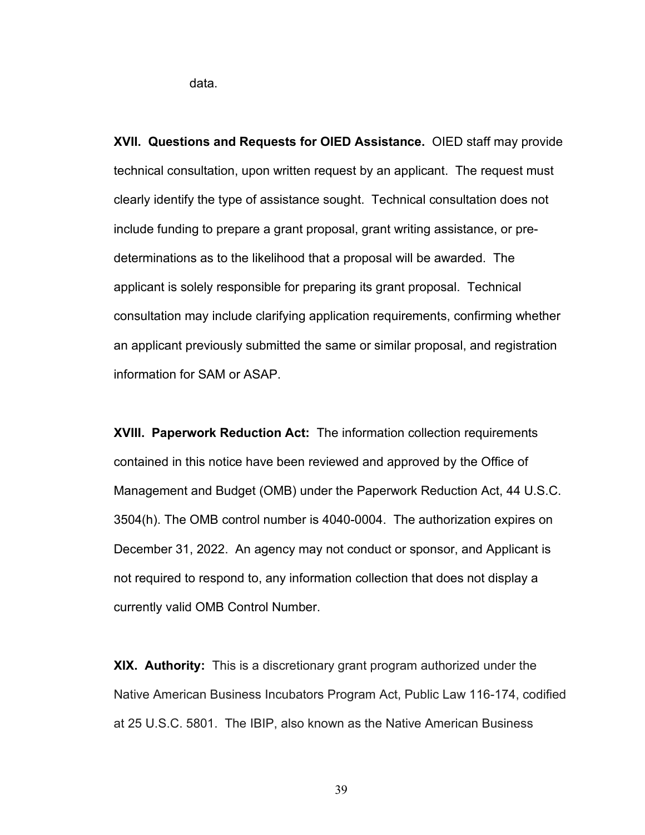data.

**XVII. Questions and Requests for OIED Assistance.** OIED staff may provide technical consultation, upon written request by an applicant. The request must clearly identify the type of assistance sought. Technical consultation does not include funding to prepare a grant proposal, grant writing assistance, or predeterminations as to the likelihood that a proposal will be awarded. The applicant is solely responsible for preparing its grant proposal. Technical consultation may include clarifying application requirements, confirming whether an applicant previously submitted the same or similar proposal, and registration information for SAM or ASAP.

**XVIII. Paperwork Reduction Act:** The information collection requirements contained in this notice have been reviewed and approved by the Office of Management and Budget (OMB) under the Paperwork Reduction Act, 44 U.S.C. 3504(h). The OMB control number is 4040-0004. The authorization expires on December 31, 2022. An agency may not conduct or sponsor, and Applicant is not required to respond to, any information collection that does not display a currently valid OMB Control Number.

**XIX. Authority:** This is a discretionary grant program authorized under the Native American Business Incubators Program Act, Public Law 116-174, codified at 25 U.S.C. 5801. The IBIP, also known as the Native American Business